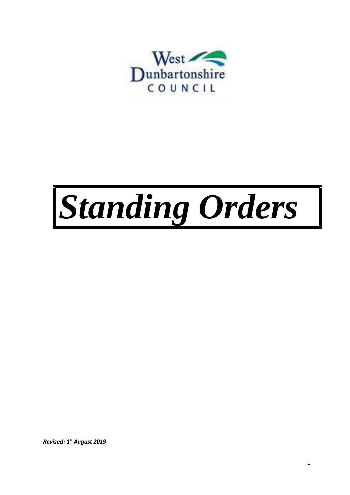

# *Standing Orders*

*Revised: 1 st August 2019*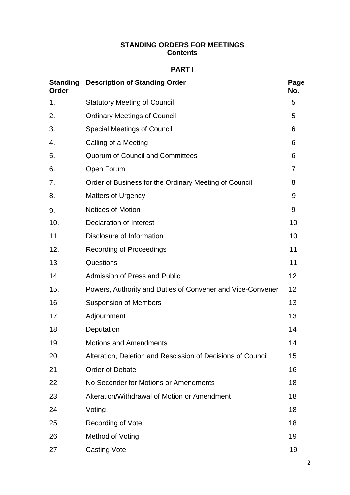## **STANDING ORDERS FOR MEETINGS Contents**

## **PART I**

| <b>Standing</b><br>Order | <b>Description of Standing Order</b>                        |    |
|--------------------------|-------------------------------------------------------------|----|
| 1.                       | <b>Statutory Meeting of Council</b>                         | 5  |
| 2.                       | <b>Ordinary Meetings of Council</b>                         | 5  |
| 3.                       | <b>Special Meetings of Council</b>                          | 6  |
| 4.                       | Calling of a Meeting                                        | 6  |
| 5.                       | <b>Quorum of Council and Committees</b>                     | 6  |
| 6.                       | Open Forum                                                  | 7  |
| 7.                       | Order of Business for the Ordinary Meeting of Council       | 8  |
| 8.                       | <b>Matters of Urgency</b>                                   | 9  |
| 9.                       | <b>Notices of Motion</b>                                    | 9  |
| 10.                      | <b>Declaration of Interest</b>                              | 10 |
| 11                       | Disclosure of Information                                   | 10 |
| 12.                      | <b>Recording of Proceedings</b>                             | 11 |
| 13                       | Questions                                                   | 11 |
| 14                       | <b>Admission of Press and Public</b>                        | 12 |
| 15.                      | Powers, Authority and Duties of Convener and Vice-Convener  | 12 |
| 16                       | <b>Suspension of Members</b>                                | 13 |
| 17                       | Adjournment                                                 | 13 |
| 18                       | Deputation                                                  | 14 |
| 19                       | <b>Motions and Amendments</b>                               | 14 |
| 20                       | Alteration, Deletion and Rescission of Decisions of Council | 15 |
| 21                       | <b>Order of Debate</b>                                      | 16 |
| 22                       | No Seconder for Motions or Amendments                       | 18 |
| 23                       | Alteration/Withdrawal of Motion or Amendment                | 18 |
| 24                       | Voting                                                      | 18 |
| 25                       | Recording of Vote                                           | 18 |
| 26                       | Method of Voting                                            | 19 |
| 27                       | <b>Casting Vote</b>                                         | 19 |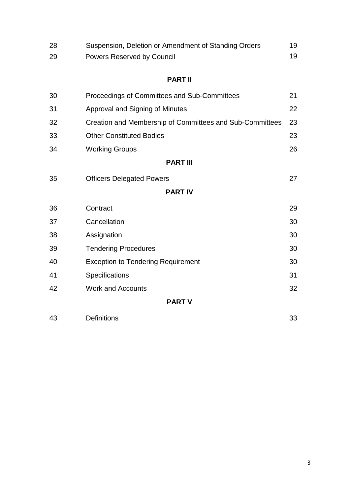| 28 | Suspension, Deletion or Amendment of Standing Orders     | 19 |
|----|----------------------------------------------------------|----|
| 29 | <b>Powers Reserved by Council</b>                        | 19 |
|    | <b>PART II</b>                                           |    |
| 30 | Proceedings of Committees and Sub-Committees             | 21 |
| 31 | Approval and Signing of Minutes                          | 22 |
| 32 | Creation and Membership of Committees and Sub-Committees | 23 |
| 33 | <b>Other Constituted Bodies</b>                          | 23 |
| 34 | <b>Working Groups</b>                                    | 26 |
|    | <b>PART III</b>                                          |    |
| 35 | <b>Officers Delegated Powers</b>                         | 27 |
|    | <b>PART IV</b>                                           |    |

- Contract 29 37 Cancellation 30 Assignation 30 Tendering Procedures 30 Exception to Tendering Requirement 30 Specifications 31 Work and Accounts 32 **PART V**
	-

| 43 | <b>Definitions</b> | 33 |
|----|--------------------|----|
|    |                    |    |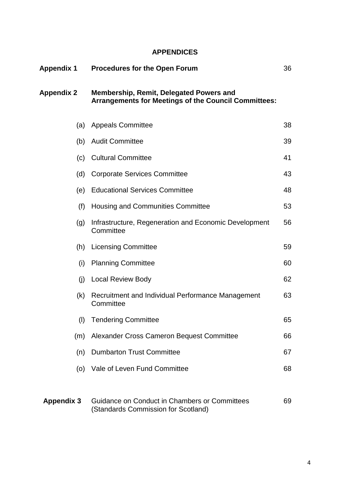## **APPENDICES**

| Appendix 1        | <b>Procedures for the Open Forum</b>                                                                   |    |
|-------------------|--------------------------------------------------------------------------------------------------------|----|
| <b>Appendix 2</b> | Membership, Remit, Delegated Powers and<br><b>Arrangements for Meetings of the Council Committees:</b> |    |
| (a)               | <b>Appeals Committee</b>                                                                               | 38 |
| (b)               | <b>Audit Committee</b>                                                                                 | 39 |
| (c)               | <b>Cultural Committee</b>                                                                              | 41 |
| (d)               | <b>Corporate Services Committee</b>                                                                    | 43 |
| (e)               | <b>Educational Services Committee</b>                                                                  | 48 |
| (f)               | Housing and Communities Committee                                                                      | 53 |
| (g)               | Infrastructure, Regeneration and Economic Development<br>Committee                                     | 56 |
| (h)               | <b>Licensing Committee</b>                                                                             | 59 |
| (i)               | <b>Planning Committee</b>                                                                              | 60 |
| (j)               | Local Review Body                                                                                      | 62 |
| (k)               | Recruitment and Individual Performance Management<br>Committee                                         | 63 |
| (1)               | <b>Tendering Committee</b>                                                                             | 65 |
| (m)               | Alexander Cross Cameron Bequest Committee                                                              | 66 |
| (n)               | <b>Dumbarton Trust Committee</b>                                                                       | 67 |
| (0)               | Vale of Leven Fund Committee                                                                           | 68 |
| <b>Appendix 3</b> | Guidance on Conduct in Chambers or Committees                                                          | 69 |

(Standards Commission for Scotland)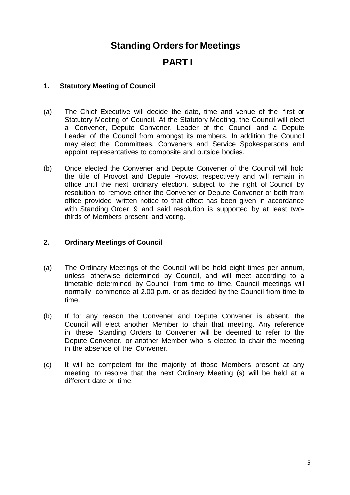# **Standing Orders for Meetings**

# **PART I**

## **1. Statutory Meeting of Council**

- (a) The Chief Executive will decide the date, time and venue of the first or Statutory Meeting of Council. At the Statutory Meeting, the Council will elect a Convener, Depute Convener, Leader of the Council and a Depute Leader of the Council from amongst its members. In addition the Council may elect the Committees, Conveners and Service Spokespersons and appoint representatives to composite and outside bodies.
- (b) Once elected the Convener and Depute Convener of the Council will hold the title of Provost and Depute Provost respectively and will remain in office until the next ordinary election, subject to the right of Council by resolution to remove either the Convener or Depute Convener or both from office provided written notice to that effect has been given in accordance with Standing Order 9 and said resolution is supported by at least twothirds of Members present and voting.

## **2. Ordinary Meetings of Council**

- (a) The Ordinary Meetings of the Council will be held eight times per annum, unless otherwise determined by Council, and will meet according to a timetable determined by Council from time to time. Council meetings will normally commence at 2.00 p.m. or as decided by the Council from time to time.
- (b) If for any reason the Convener and Depute Convener is absent, the Council will elect another Member to chair that meeting. Any reference in these Standing Orders to Convener will be deemed to refer to the Depute Convener, or another Member who is elected to chair the meeting in the absence of the Convener.
- (c) It will be competent for the majority of those Members present at any meeting to resolve that the next Ordinary Meeting (s) will be held at a different date or time.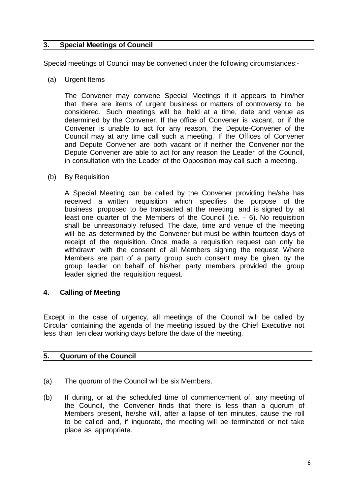## **3. Special Meetings of Council**

Special meetings of Council may be convened under the following circumstances:-

(a) Urgent Items

The Convener may convene Special Meetings if it appears to him/her that there are items of urgent business or matters of controversy to be considered. Such meetings will be held at a time, date and venue as determined by the Convener. If the office of Convener is vacant, or if the Convener is unable to act for any reason, the Depute-Convener of the Council may at any time call such a meeting. If the Offices of Convener and Depute Convener are both vacant or if neither the Convener nor the Depute Convener are able to act for any reason the Leader of the Council, in consultation with the Leader of the Opposition may call such a meeting.

(b) By Requisition

A Special Meeting can be called by the Convener providing he/she has received a written requisition which specifies the purpose of the business proposed to be transacted at the meeting and is signed by at least one quarter of the Members of the Council (i.e. - 6). No requisition shall be unreasonably refused. The date, time and venue of the meeting will be as determined by the Convener but must be within fourteen days of receipt of the requisition. Once made a requisition request can only be withdrawn with the consent of all Members signing the request. Where Members are part of a party group such consent may be given by the group leader on behalf of his/her party members provided the group leader signed the requisition request.

## **4. Calling of Meeting**

Except in the case of urgency, all meetings of the Council will be called by Circular containing the agenda of the meeting issued by the Chief Executive not less than ten clear working days before the date of the meeting.

## **5. Quorum of the Council**

- (a) The quorum of the Council will be six Members.
- (b) If during, or at the scheduled time of commencement of, any meeting of the Council, the Convener finds that there is less than a quorum of Members present, he/she will, after a lapse of ten minutes, cause the roll to be called and, if inquorate, the meeting will be terminated or not take place as appropriate.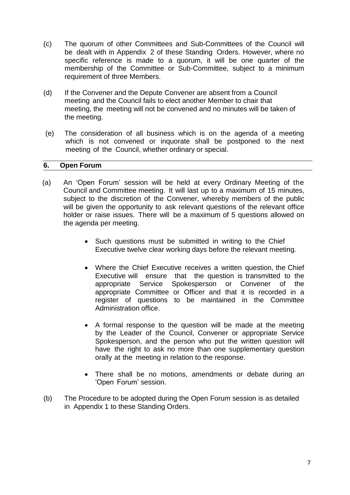- (c) The quorum of other Committees and Sub-Committees of the Council will be dealt with in Appendix 2 of these Standing Orders. However, where no specific reference is made to a quorum, it will be one quarter of the membership of the Committee or Sub-Committee, subject to a minimum requirement of three Members.
- (d) If the Convener and the Depute Convener are absent from a Council meeting and the Council fails to elect another Member to chair that meeting, the meeting will not be convened and no minutes will be taken of the meeting.
- (e) The consideration of all business which is on the agenda of a meeting which is not convened or inquorate shall be postponed to the next meeting of the Council, whether ordinary or special.

#### **6. Open Forum**

- (a) An 'Open Forum' session will be held at every Ordinary Meeting of the Council and Committee meeting. It will last up to a maximum of 15 minutes, subject to the discretion of the Convener, whereby members of the public will be given the opportunity to ask relevant questions of the relevant office holder or raise issues. There will be a maximum of 5 questions allowed on the agenda per meeting.
	- Such questions must be submitted in writing to the Chief Executive twelve clear working days before the relevant meeting.
	- Where the Chief Executive receives a written question, the Chief Executive will ensure that the question is transmitted to the appropriate Service Spokesperson or Convener of the appropriate Committee or Officer and that it is recorded in a register of questions to be maintained in the Committee Administration office.
	- A formal response to the question will be made at the meeting by the Leader of the Council, Convener or appropriate Service Spokesperson, and the person who put the written question will have the right to ask no more than one supplementary question orally at the meeting in relation to the response.
	- There shall be no motions, amendments or debate during an 'Open Forum' session.
- (b) The Procedure to be adopted during the Open Forum session is as detailed in Appendix 1 to these Standing Orders.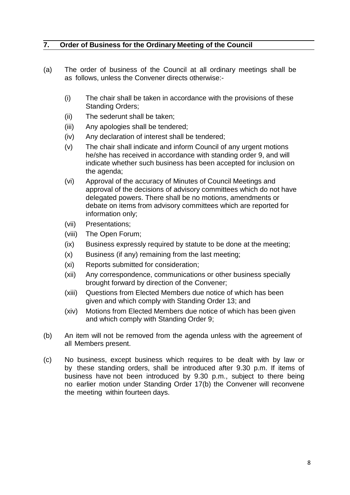## **7. Order of Business for the Ordinary Meeting of the Council**

- (a) The order of business of the Council at all ordinary meetings shall be as follows, unless the Convener directs otherwise:-
	- (i) The chair shall be taken in accordance with the provisions of these Standing Orders;
	- (ii) The sederunt shall be taken;
	- (iii) Any apologies shall be tendered;
	- (iv) Any declaration of interest shall be tendered;
	- (v) The chair shall indicate and inform Council of any urgent motions he/she has received in accordance with standing order 9, and will indicate whether such business has been accepted for inclusion on the agenda;
	- (vi) Approval of the accuracy of Minutes of Council Meetings and approval of the decisions of advisory committees which do not have delegated powers. There shall be no motions, amendments or debate on items from advisory committees which are reported for information only;
	- (vii) Presentations;
	- (viii) The Open Forum;
	- (ix) Business expressly required by statute to be done at the meeting;
	- (x) Business (if any) remaining from the last meeting;
	- (xi) Reports submitted for consideration;
	- (xii) Any correspondence, communications or other business specially brought forward by direction of the Convener;
	- (xiii) Questions from Elected Members due notice of which has been given and which comply with Standing Order 13; and
	- (xiv) Motions from Elected Members due notice of which has been given and which comply with Standing Order 9;
- (b) An item will not be removed from the agenda unless with the agreement of all Members present.
- (c) No business, except business which requires to be dealt with by law or by these standing orders, shall be introduced after 9.30 p.m. If items of business have not been introduced by 9.30 p.m., subject to there being no earlier motion under Standing Order 17(b) the Convener will reconvene the meeting within fourteen days.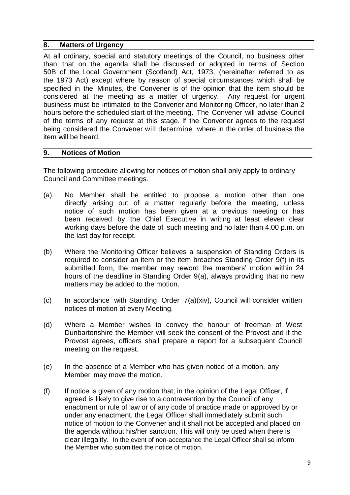#### **8. Matters of Urgency**

At all ordinary, special and statutory meetings of the Council, no business other than that on the agenda shall be discussed or adopted in terms of Section 50B of the Local Government (Scotland) Act, 1973, (hereinafter referred to as the 1973 Act) except where by reason of special circumstances which shall be specified in the Minutes, the Convener is of the opinion that the item should be considered at the meeting as a matter of urgency. Any request for urgent business must be intimated to the Convener and Monitoring Officer, no later than 2 hours before the scheduled start of the meeting. The Convener will advise Council of the terms of any request at this stage. If the Convener agrees to the request being considered the Convener will determine where in the order of business the item will be heard.

#### **9. Notices of Motion**

The following procedure allowing for notices of motion shall only apply to ordinary Council and Committee meetings.

- (a) No Member shall be entitled to propose a motion other than one directly arising out of a matter regularly before the meeting, unless notice of such motion has been given at a previous meeting or has been received by the Chief Executive in writing at least eleven clear working days before the date of such meeting and no later than 4.00 p.m. on the last day for receipt.
- (b) Where the Monitoring Officer believes a suspension of Standing Orders is required to consider an item or the item breaches Standing Order 9(f) in its submitted form, the member may reword the members' motion within 24 hours of the deadline in Standing Order 9(a), always providing that no new matters may be added to the motion.
- (c) In accordance with Standing Order 7(a)(xiv), Council will consider written notices of motion at every Meeting.
- (d) Where a Member wishes to convey the honour of freeman of West Dunbartonshire the Member will seek the consent of the Provost and if the Provost agrees, officers shall prepare a report for a subsequent Council meeting on the request.
- (e) In the absence of a Member who has given notice of a motion, any Member may move the motion.
- $(f)$  If notice is given of any motion that, in the opinion of the Legal Officer, if agreed is likely to give rise to a contravention by the Council of any enactment or rule of law or of any code of practice made or approved by or under any enactment, the Legal Officer shall immediately submit such notice of motion to the Convener and it shall not be accepted and placed on the agenda without his/her sanction. This will only be used when there is clear illegality. In the event of non-acceptance the Legal Officer shall so inform the Member who submitted the notice of motion.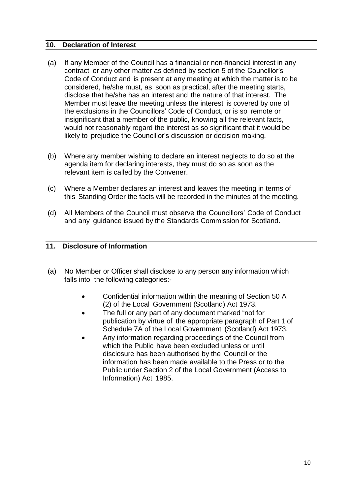#### **10. Declaration of Interest**

- (a) If any Member of the Council has a financial or non-financial interest in any contract or any other matter as defined by section 5 of the Councillor's Code of Conduct and is present at any meeting at which the matter is to be considered, he/she must, as soon as practical, after the meeting starts, disclose that he/she has an interest and the nature of that interest. The Member must leave the meeting unless the interest is covered by one of the exclusions in the Councillors' Code of Conduct, or is so remote or insignificant that a member of the public, knowing all the relevant facts, would not reasonably regard the interest as so significant that it would be likely to prejudice the Councillor's discussion or decision making.
- (b) Where any member wishing to declare an interest neglects to do so at the agenda item for declaring interests, they must do so as soon as the relevant item is called by the Convener.
- (c) Where a Member declares an interest and leaves the meeting in terms of this Standing Order the facts will be recorded in the minutes of the meeting.
- (d) All Members of the Council must observe the Councillors' Code of Conduct and any guidance issued by the Standards Commission for Scotland.

#### **11. Disclosure of Information**

- (a) No Member or Officer shall disclose to any person any information which falls into the following categories:-
	- Confidential information within the meaning of Section 50 A (2) of the Local Government (Scotland) Act 1973.
	- The full or any part of any document marked "not for publication by virtue of the appropriate paragraph of Part 1 of Schedule 7A of the Local Government (Scotland) Act 1973.
	- Any information regarding proceedings of the Council from which the Public have been excluded unless or until disclosure has been authorised by the Council or the information has been made available to the Press or to the Public under Section 2 of the Local Government (Access to Information) Act 1985.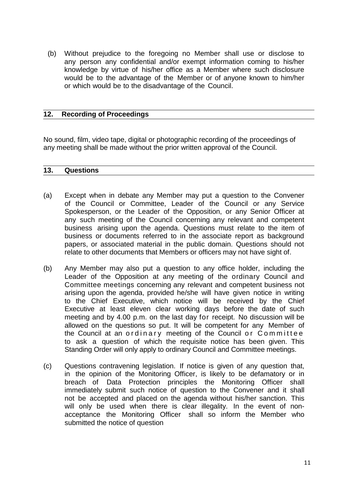(b) Without prejudice to the foregoing no Member shall use or disclose to any person any confidential and/or exempt information coming to his/her knowledge by virtue of his/her office as a Member where such disclosure would be to the advantage of the Member or of anyone known to him/her or which would be to the disadvantage of the Council.

## **12. Recording of Proceedings**

No sound, film, video tape, digital or photographic recording of the proceedings of any meeting shall be made without the prior written approval of the Council.

#### **13. Questions**

- (a) Except when in debate any Member may put a question to the Convener of the Council or Committee, Leader of the Council or any Service Spokesperson, or the Leader of the Opposition, or any Senior Officer at any such meeting of the Council concerning any relevant and competent business arising upon the agenda. Questions must relate to the item of business or documents referred to in the associate report as background papers, or associated material in the public domain. Questions should not relate to other documents that Members or officers may not have sight of.
- (b) Any Member may also put a question to any office holder, including the Leader of the Opposition at any meeting of the ordinary Council and Committee meetings concerning any relevant and competent business not arising upon the agenda, provided he/she will have given notice in writing to the Chief Executive, which notice will be received by the Chief Executive at least eleven clear working days before the date of such meeting and by 4.00 p.m. on the last day for receipt. No discussion will be allowed on the questions so put. It will be competent for any Member of the Council at an ordinary meeting of the Council or Committee to ask a question of which the requisite notice has been given. This Standing Order will only apply to ordinary Council and Committee meetings.
- (c) Questions contravening legislation. If notice is given of any question that, in the opinion of the Monitoring Officer, is likely to be defamatory or in breach of Data Protection principles the Monitoring Officer shall immediately submit such notice of question to the Convener and it shall not be accepted and placed on the agenda without his/her sanction. This will only be used when there is clear illegality. In the event of nonacceptance the Monitoring Officer shall so inform the Member who submitted the notice of question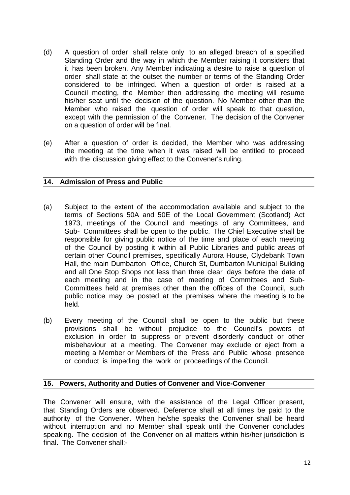- (d) A question of order shall relate only to an alleged breach of a specified Standing Order and the way in which the Member raising it considers that it has been broken. Any Member indicating a desire to raise a question of order shall state at the outset the number or terms of the Standing Order considered to be infringed. When a question of order is raised at a Council meeting, the Member then addressing the meeting will resume his/her seat until the decision of the question. No Member other than the Member who raised the question of order will speak to that question, except with the permission of the Convener. The decision of the Convener on a question of order will be final.
- (e) After a question of order is decided, the Member who was addressing the meeting at the time when it was raised will be entitled to proceed with the discussion giving effect to the Convener's ruling.

## **14. Admission of Press and Public**

- (a) Subject to the extent of the accommodation available and subject to the terms of Sections 50A and 50E of the Local Government (Scotland) Act 1973, meetings of the Council and meetings of any Committees, and Sub- Committees shall be open to the public. The Chief Executive shall be responsible for giving public notice of the time and place of each meeting of the Council by posting it within all Public Libraries and public areas of certain other Council premises, specifically Aurora House, Clydebank Town Hall, the main Dumbarton Office, Church St, Dumbarton Municipal Building and all One Stop Shops not less than three clear days before the date of each meeting and in the case of meeting of Committees and Sub-Committees held at premises other than the offices of the Council, such public notice may be posted at the premises where the meeting is to be held.
- (b) Every meeting of the Council shall be open to the public but these provisions shall be without prejudice to the Council's powers of exclusion in order to suppress or prevent disorderly conduct or other misbehaviour at a meeting. The Convener may exclude or eject from a meeting a Member or Members of the Press and Public whose presence or conduct is impeding the work or proceedings of the Council.

## **15. Powers, Authority and Duties of Convener and Vice-Convener**

The Convener will ensure, with the assistance of the Legal Officer present, that Standing Orders are observed. Deference shall at all times be paid to the authority of the Convener. When he/she speaks the Convener shall be heard without interruption and no Member shall speak until the Convener concludes speaking. The decision of the Convener on all matters within his/her jurisdiction is final. The Convener shall:-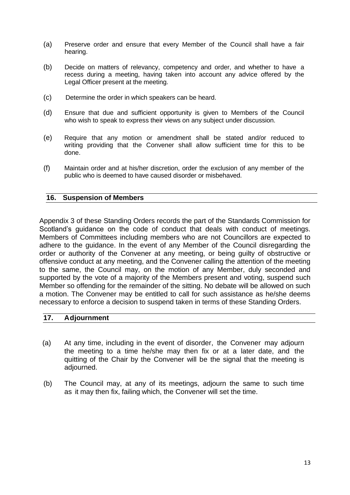- (a) Preserve order and ensure that every Member of the Council shall have a fair hearing.
- (b) Decide on matters of relevancy, competency and order, and whether to have a recess during a meeting, having taken into account any advice offered by the Legal Officer present at the meeting.
- (c) Determine the order in which speakers can be heard.
- (d) Ensure that due and sufficient opportunity is given to Members of the Council who wish to speak to express their views on any subject under discussion.
- (e) Require that any motion or amendment shall be stated and/or reduced to writing providing that the Convener shall allow sufficient time for this to be done.
- (f) Maintain order and at his/her discretion, order the exclusion of any member of the public who is deemed to have caused disorder or misbehaved.

#### **16. Suspension of Members**

Appendix 3 of these Standing Orders records the part of the Standards Commission for Scotland's guidance on the code of conduct that deals with conduct of meetings. Members of Committees including members who are not Councillors are expected to adhere to the guidance. In the event of any Member of the Council disregarding the order or authority of the Convener at any meeting, or being guilty of obstructive or offensive conduct at any meeting, and the Convener calling the attention of the meeting to the same, the Council may, on the motion of any Member, duly seconded and supported by the vote of a majority of the Members present and voting, suspend such Member so offending for the remainder of the sitting. No debate will be allowed on such a motion. The Convener may be entitled to call for such assistance as he/she deems necessary to enforce a decision to suspend taken in terms of these Standing Orders.

#### **17. Adjournment**

- (a) At any time, including in the event of disorder, the Convener may adjourn the meeting to a time he/she may then fix or at a later date, and the quitting of the Chair by the Convener will be the signal that the meeting is adjourned.
- (b) The Council may, at any of its meetings, adjourn the same to such time as it may then fix, failing which, the Convener will set the time.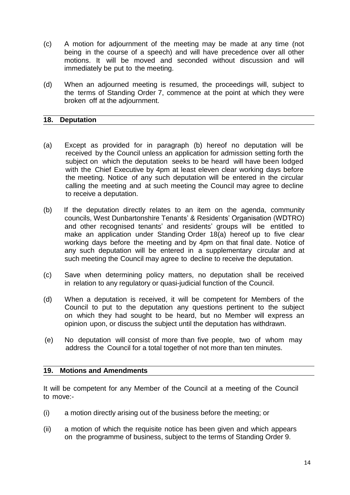- (c) A motion for adjournment of the meeting may be made at any time (not being in the course of a speech) and will have precedence over all other motions. It will be moved and seconded without discussion and will immediately be put to the meeting.
- (d) When an adjourned meeting is resumed, the proceedings will, subject to the terms of Standing Order 7, commence at the point at which they were broken off at the adjournment.

#### **18. Deputation**

- (a) Except as provided for in paragraph (b) hereof no deputation will be received by the Council unless an application for admission setting forth the subject on which the deputation seeks to be heard will have been lodged with the Chief Executive by 4pm at least eleven clear working days before the meeting. Notice of any such deputation will be entered in the circular calling the meeting and at such meeting the Council may agree to decline to receive a deputation.
- (b) If the deputation directly relates to an item on the agenda, community councils, West Dunbartonshire Tenants' & Residents' Organisation (WDTRO) and other recognised tenants' and residents' groups will be entitled to make an application under Standing Order 18(a) hereof up to five clear working days before the meeting and by 4pm on that final date. Notice of any such deputation will be entered in a supplementary circular and at such meeting the Council may agree to decline to receive the deputation.
- (c) Save when determining policy matters, no deputation shall be received in relation to any regulatory or quasi-judicial function of the Council.
- (d) When a deputation is received, it will be competent for Members of the Council to put to the deputation any questions pertinent to the subject on which they had sought to be heard, but no Member will express an opinion upon, or discuss the subject until the deputation has withdrawn.
- (e) No deputation will consist of more than five people, two of whom may address the Council for a total together of not more than ten minutes.

#### **19. Motions and Amendments**

It will be competent for any Member of the Council at a meeting of the Council to move:-

- (i) a motion directly arising out of the business before the meeting; or
- (ii) a motion of which the requisite notice has been given and which appears on the programme of business, subject to the terms of Standing Order 9.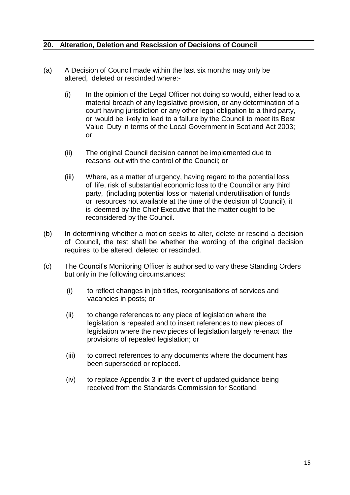## **20. Alteration, Deletion and Rescission of Decisions of Council**

- (a) A Decision of Council made within the last six months may only be altered, deleted or rescinded where:-
	- (i) In the opinion of the Legal Officer not doing so would, either lead to a material breach of any legislative provision, or any determination of a court having jurisdiction or any other legal obligation to a third party, or would be likely to lead to a failure by the Council to meet its Best Value Duty in terms of the Local Government in Scotland Act 2003; or
	- (ii) The original Council decision cannot be implemented due to reasons out with the control of the Council; or
	- (iii) Where, as a matter of urgency, having regard to the potential loss of life, risk of substantial economic loss to the Council or any third party, (including potential loss or material underutilisation of funds or resources not available at the time of the decision of Council), it is deemed by the Chief Executive that the matter ought to be reconsidered by the Council.
- (b) In determining whether a motion seeks to alter, delete or rescind a decision of Council, the test shall be whether the wording of the original decision requires to be altered, deleted or rescinded.
- (c) The Council's Monitoring Officer is authorised to vary these Standing Orders but only in the following circumstances:
	- (i) to reflect changes in job titles, reorganisations of services and vacancies in posts; or
	- (ii) to change references to any piece of legislation where the legislation is repealed and to insert references to new pieces of legislation where the new pieces of legislation largely re-enact the provisions of repealed legislation; or
	- (iii) to correct references to any documents where the document has been superseded or replaced.
	- (iv) to replace Appendix 3 in the event of updated guidance being received from the Standards Commission for Scotland.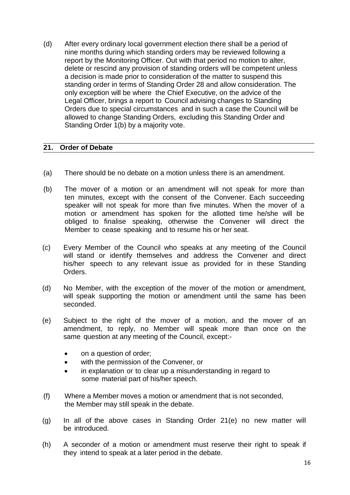(d) After every ordinary local government election there shall be a period of nine months during which standing orders may be reviewed following a report by the Monitoring Officer. Out with that period no motion to alter, delete or rescind any provision of standing orders will be competent unless a decision is made prior to consideration of the matter to suspend this standing order in terms of Standing Order 28 and allow consideration. The only exception will be where the Chief Executive, on the advice of the Legal Officer, brings a report to Council advising changes to Standing Orders due to special circumstances and in such a case the Council will be allowed to change Standing Orders, excluding this Standing Order and Standing Order 1(b) by a majority vote.

## **21. Order of Debate**

- (a) There should be no debate on a motion unless there is an amendment.
- (b) The mover of a motion or an amendment will not speak for more than ten minutes, except with the consent of the Convener. Each succeeding speaker will not speak for more than five minutes. When the mover of a motion or amendment has spoken for the allotted time he/she will be obliged to finalise speaking, otherwise the Convener will direct the Member to cease speaking and to resume his or her seat.
- (c) Every Member of the Council who speaks at any meeting of the Council will stand or identify themselves and address the Convener and direct his/her speech to any relevant issue as provided for in these Standing Orders.
- (d) No Member, with the exception of the mover of the motion or amendment, will speak supporting the motion or amendment until the same has been seconded.
- (e) Subject to the right of the mover of a motion, and the mover of an amendment, to reply, no Member will speak more than once on the same question at any meeting of the Council, except:-
	- on a question of order;
	- with the permission of the Convener, or
	- in explanation or to clear up a misunderstanding in regard to some material part of his/her speech.
- (f) Where a Member moves a motion or amendment that is not seconded, the Member may still speak in the debate.
- (g) In all of the above cases in Standing Order 21(e) no new matter will be introduced.
- (h) A seconder of a motion or amendment must reserve their right to speak if they intend to speak at a later period in the debate.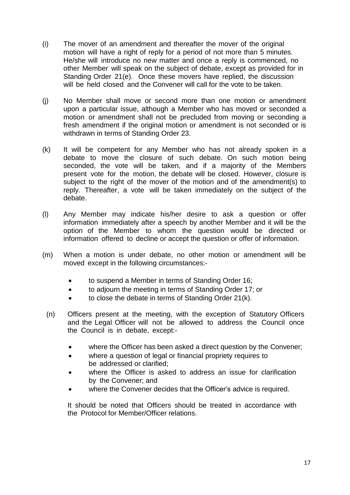- (i) The mover of an amendment and thereafter the mover of the original motion will have a right of reply for a period of not more than 5 minutes. He/she will introduce no new matter and once a reply is commenced, no other Member will speak on the subject of debate, except as provided for in Standing Order 21(e). Once these movers have replied, the discussion will be held closed and the Convener will call for the vote to be taken.
- (j) No Member shall move or second more than one motion or amendment upon a particular issue, although a Member who has moved or seconded a motion or amendment shall not be precluded from moving or seconding a fresh amendment if the original motion or amendment is not seconded or is withdrawn in terms of Standing Order 23.
- (k) It will be competent for any Member who has not already spoken in a debate to move the closure of such debate. On such motion being seconded, the vote will be taken, and if a majority of the Members present vote for the motion, the debate will be closed. However, closure is subject to the right of the mover of the motion and of the amendment(s) to reply. Thereafter, a vote will be taken immediately on the subject of the debate.
- (l) Any Member may indicate his/her desire to ask a question or offer information immediately after a speech by another Member and it will be the option of the Member to whom the question would be directed or information offered to decline or accept the question or offer of information.
- (m) When a motion is under debate, no other motion or amendment will be moved except in the following circumstances:
	- to suspend a Member in terms of Standing Order 16;
	- to adjourn the meeting in terms of Standing Order 17; or
	- to close the debate in terms of Standing Order 21(k).
	- (n) Officers present at the meeting, with the exception of Statutory Officers and the Legal Officer will not be allowed to address the Council once the Council is in debate, except:-
		- where the Officer has been asked a direct question by the Convener;
		- where a question of legal or financial propriety requires to be addressed or clarified;
		- where the Officer is asked to address an issue for clarification by the Convener; and
		- where the Convener decides that the Officer's advice is required.

It should be noted that Officers should be treated in accordance with the Protocol for Member/Officer relations.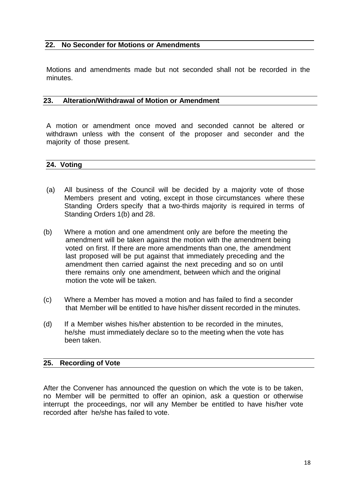#### **22. No Seconder for Motions or Amendments**

Motions and amendments made but not seconded shall not be recorded in the minutes.

#### **23. Alteration/Withdrawal of Motion or Amendment**

A motion or amendment once moved and seconded cannot be altered or withdrawn unless with the consent of the proposer and seconder and the majority of those present.

**24. Voting**

- (a) All business of the Council will be decided by a majority vote of those Members present and voting, except in those circumstances where these Standing Orders specify that a two-thirds majority is required in terms of Standing Orders 1(b) and 28.
- (b) Where a motion and one amendment only are before the meeting the amendment will be taken against the motion with the amendment being voted on first. If there are more amendments than one, the amendment last proposed will be put against that immediately preceding and the amendment then carried against the next preceding and so on until there remains only one amendment, between which and the original motion the vote will be taken.
- (c) Where a Member has moved a motion and has failed to find a seconder that Member will be entitled to have his/her dissent recorded in the minutes.
- (d) If a Member wishes his/her abstention to be recorded in the minutes, he/she must immediately declare so to the meeting when the vote has been taken.

## **25. Recording of Vote**

After the Convener has announced the question on which the vote is to be taken, no Member will be permitted to offer an opinion, ask a question or otherwise interrupt the proceedings, nor will any Member be entitled to have his/her vote recorded after he/she has failed to vote.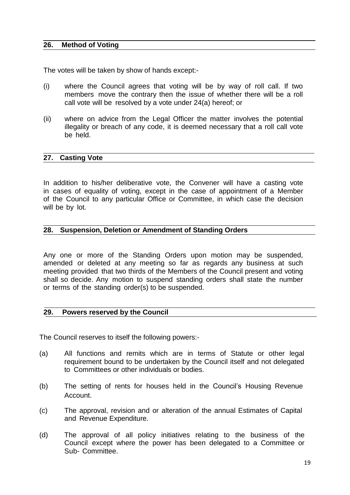#### **26. Method of Voting**

The votes will be taken by show of hands except:-

- (i) where the Council agrees that voting will be by way of roll call. If two members move the contrary then the issue of whether there will be a roll call vote will be resolved by a vote under 24(a) hereof; or
- (ii) where on advice from the Legal Officer the matter involves the potential illegality or breach of any code, it is deemed necessary that a roll call vote be held.

#### **27. Casting Vote**

In addition to his/her deliberative vote, the Convener will have a casting vote in cases of equality of voting, except in the case of appointment of a Member of the Council to any particular Office or Committee, in which case the decision will be by lot.

#### **28. Suspension, Deletion or Amendment of Standing Orders**

Any one or more of the Standing Orders upon motion may be suspended, amended or deleted at any meeting so far as regards any business at such meeting provided that two thirds of the Members of the Council present and voting shall so decide. Any motion to suspend standing orders shall state the number or terms of the standing order(s) to be suspended.

#### **29. Powers reserved by the Council**

The Council reserves to itself the following powers:-

- (a) All functions and remits which are in terms of Statute or other legal requirement bound to be undertaken by the Council itself and not delegated to Committees or other individuals or bodies.
- (b) The setting of rents for houses held in the Council's Housing Revenue Account.
- (c) The approval, revision and or alteration of the annual Estimates of Capital and Revenue Expenditure.
- (d) The approval of all policy initiatives relating to the business of the Council except where the power has been delegated to a Committee or Sub- Committee.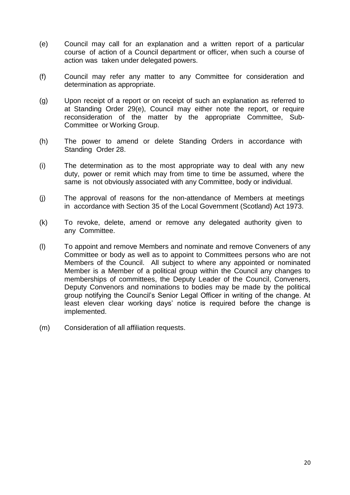- (e) Council may call for an explanation and a written report of a particular course of action of a Council department or officer, when such a course of action was taken under delegated powers.
- (f) Council may refer any matter to any Committee for consideration and determination as appropriate.
- (g) Upon receipt of a report or on receipt of such an explanation as referred to at Standing Order 29(e), Council may either note the report, or require reconsideration of the matter by the appropriate Committee, Sub-Committee or Working Group.
- (h) The power to amend or delete Standing Orders in accordance with Standing Order 28.
- (i) The determination as to the most appropriate way to deal with any new duty, power or remit which may from time to time be assumed, where the same is not obviously associated with any Committee, body or individual.
- (j) The approval of reasons for the non-attendance of Members at meetings in accordance with Section 35 of the Local Government (Scotland) Act 1973.
- (k) To revoke, delete, amend or remove any delegated authority given to any Committee.
- (l) To appoint and remove Members and nominate and remove Conveners of any Committee or body as well as to appoint to Committees persons who are not Members of the Council. All subject to where any appointed or nominated Member is a Member of a political group within the Council any changes to memberships of committees, the Deputy Leader of the Council, Conveners, Deputy Convenors and nominations to bodies may be made by the political group notifying the Council's Senior Legal Officer in writing of the change. At least eleven clear working days' notice is required before the change is implemented.
- (m) Consideration of all affiliation requests.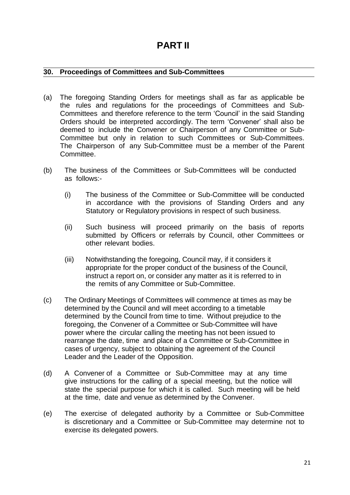# **PART II**

## **30. Proceedings of Committees and Sub-Committees**

- (a) The foregoing Standing Orders for meetings shall as far as applicable be the rules and regulations for the proceedings of Committees and Sub-Committees and therefore reference to the term 'Council' in the said Standing Orders should be interpreted accordingly. The term 'Convener' shall also be deemed to include the Convener or Chairperson of any Committee or Sub-Committee but only in relation to such Committees or Sub-Committees. The Chairperson of any Sub-Committee must be a member of the Parent Committee.
- (b) The business of the Committees or Sub-Committees will be conducted as follows:-
	- (i) The business of the Committee or Sub-Committee will be conducted in accordance with the provisions of Standing Orders and any Statutory or Regulatory provisions in respect of such business.
	- (ii) Such business will proceed primarily on the basis of reports submitted by Officers or referrals by Council, other Committees or other relevant bodies.
	- (iii) Notwithstanding the foregoing, Council may, if it considers it appropriate for the proper conduct of the business of the Council, instruct a report on, or consider any matter as it is referred to in the remits of any Committee or Sub-Committee.
- (c) The Ordinary Meetings of Committees will commence at times as may be determined by the Council and will meet according to a timetable determined by the Council from time to time. Without prejudice to the foregoing, the Convener of a Committee or Sub-Committee will have power where the circular calling the meeting has not been issued to rearrange the date, time and place of a Committee or Sub-Committee in cases of urgency, subject to obtaining the agreement of the Council Leader and the Leader of the Opposition.
- (d) A Convener of a Committee or Sub-Committee may at any time give instructions for the calling of a special meeting, but the notice will state the special purpose for which it is called. Such meeting will be held at the time, date and venue as determined by the Convener.
- (e) The exercise of delegated authority by a Committee or Sub-Committee is discretionary and a Committee or Sub-Committee may determine not to exercise its delegated powers.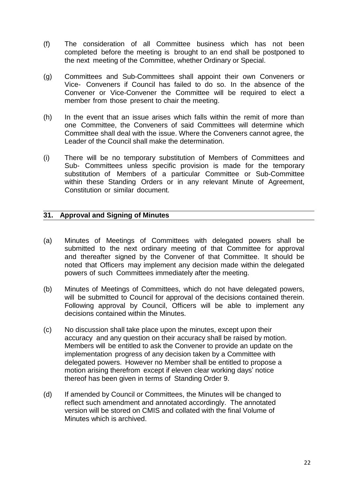- (f) The consideration of all Committee business which has not been completed before the meeting is brought to an end shall be postponed to the next meeting of the Committee, whether Ordinary or Special.
- (g) Committees and Sub-Committees shall appoint their own Conveners or Vice- Conveners if Council has failed to do so. In the absence of the Convener or Vice-Convener the Committee will be required to elect a member from those present to chair the meeting.
- (h) In the event that an issue arises which falls within the remit of more than one Committee, the Conveners of said Committees will determine which Committee shall deal with the issue. Where the Conveners cannot agree, the Leader of the Council shall make the determination.
- (i) There will be no temporary substitution of Members of Committees and Sub- Committees unless specific provision is made for the temporary substitution of Members of a particular Committee or Sub-Committee within these Standing Orders or in any relevant Minute of Agreement, Constitution or similar document.

## **31. Approval and Signing of Minutes**

- (a) Minutes of Meetings of Committees with delegated powers shall be submitted to the next ordinary meeting of that Committee for approval and thereafter signed by the Convener of that Committee. It should be noted that Officers may implement any decision made within the delegated powers of such Committees immediately after the meeting.
- (b) Minutes of Meetings of Committees, which do not have delegated powers, will be submitted to Council for approval of the decisions contained therein. Following approval by Council, Officers will be able to implement any decisions contained within the Minutes.
- (c) No discussion shall take place upon the minutes, except upon their accuracy and any question on their accuracy shall be raised by motion. Members will be entitled to ask the Convener to provide an update on the implementation progress of any decision taken by a Committee with delegated powers. However no Member shall be entitled to propose a motion arising therefrom except if eleven clear working days' notice thereof has been given in terms of Standing Order 9.
- (d) If amended by Council or Committees, the Minutes will be changed to reflect such amendment and annotated accordingly. The annotated version will be stored on CMIS and collated with the final Volume of Minutes which is archived.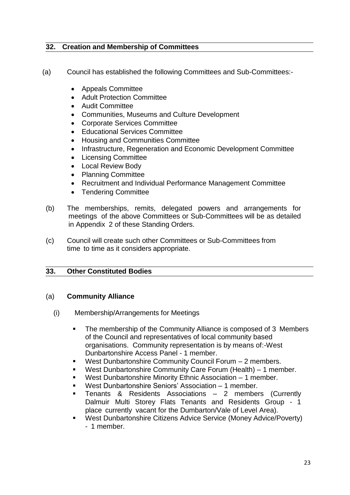## **32. Creation and Membership of Committees**

- (a) Council has established the following Committees and Sub-Committees:-
	- Appeals Committee
	- Adult Protection Committee
	- Audit Committee
	- Communities, Museums and Culture Development
	- Corporate Services Committee
	- Educational Services Committee
	- Housing and Communities Committee
	- Infrastructure, Regeneration and Economic Development Committee
	- Licensing Committee
	- Local Review Body
	- Planning Committee
	- Recruitment and Individual Performance Management Committee
	- Tendering Committee
	- (b) The memberships, remits, delegated powers and arrangements for meetings of the above Committees or Sub-Committees will be as detailed in Appendix 2 of these Standing Orders.
	- (c) Council will create such other Committees or Sub-Committees from time to time as it considers appropriate.

## **33. Other Constituted Bodies**

## (a) **Community Alliance**

- (i) Membership/Arrangements for Meetings
	- The membership of the Community Alliance is composed of 3 Members of the Council and representatives of local community based organisations. Community representation is by means of:-West Dunbartonshire Access Panel - 1 member.
	- West Dunbartonshire Community Council Forum 2 members.
	- West Dunbartonshire Community Care Forum (Health) 1 member.
	- West Dunbartonshire Minority Ethnic Association 1 member.
	- West Dunbartonshire Seniors' Association 1 member.
	- Tenants & Residents Associations 2 members (Currently Dalmuir Multi Storey Flats Tenants and Residents Group - 1 place currently vacant for the Dumbarton/Vale of Level Area).
	- West Dunbartonshire Citizens Advice Service (Money Advice/Poverty) - 1 member.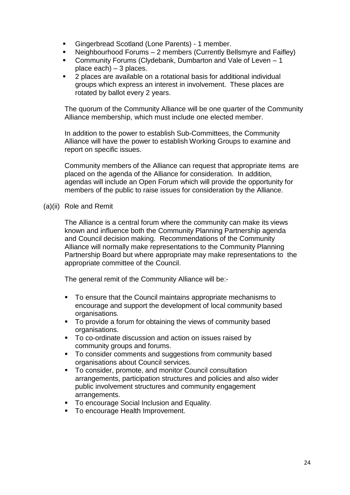- Gingerbread Scotland (Lone Parents) 1 member.
- Neighbourhood Forums 2 members (Currently Bellsmyre and Faifley)
- Community Forums (Clydebank, Dumbarton and Vale of Leven 1 place each) – 3 places.
- 2 places are available on a rotational basis for additional individual groups which express an interest in involvement. These places are rotated by ballot every 2 years.

The quorum of the Community Alliance will be one quarter of the Community Alliance membership, which must include one elected member.

In addition to the power to establish Sub-Committees, the Community Alliance will have the power to establish Working Groups to examine and report on specific issues.

Community members of the Alliance can request that appropriate items are placed on the agenda of the Alliance for consideration. In addition, agendas will include an Open Forum which will provide the opportunity for members of the public to raise issues for consideration by the Alliance.

(a)(ii) Role and Remit

The Alliance is a central forum where the community can make its views known and influence both the Community Planning Partnership agenda and Council decision making. Recommendations of the Community Alliance will normally make representations to the Community Planning Partnership Board but where appropriate may make representations to the appropriate committee of the Council.

The general remit of the Community Alliance will be:-

- To ensure that the Council maintains appropriate mechanisms to encourage and support the development of local community based organisations.
- To provide a forum for obtaining the views of community based organisations.
- To co-ordinate discussion and action on issues raised by community groups and forums.
- To consider comments and suggestions from community based organisations about Council services.
- To consider, promote, and monitor Council consultation arrangements, participation structures and policies and also wider public involvement structures and community engagement arrangements.
- **To encourage Social Inclusion and Equality.**
- **To encourage Health Improvement.**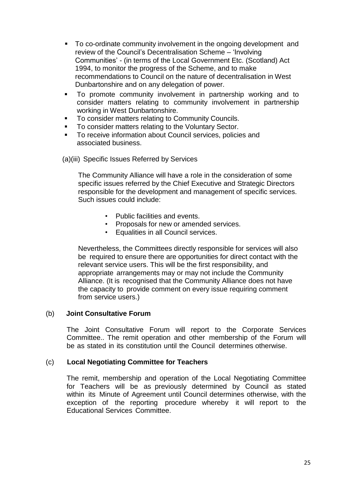- To co-ordinate community involvement in the ongoing development and review of the Council's Decentralisation Scheme – 'Involving Communities' - (in terms of the Local Government Etc. (Scotland) Act 1994, to monitor the progress of the Scheme, and to make recommendations to Council on the nature of decentralisation in West Dunbartonshire and on any delegation of power.
- To promote community involvement in partnership working and to consider matters relating to community involvement in partnership working in West Dunbartonshire.
- To consider matters relating to Community Councils.
- **To consider matters relating to the Voluntary Sector.**
- To receive information about Council services, policies and associated business.

(a)(iii) Specific Issues Referred by Services

The Community Alliance will have a role in the consideration of some specific issues referred by the Chief Executive and Strategic Directors responsible for the development and management of specific services. Such issues could include:

- Public facilities and events.
- Proposals for new or amended services.
- Equalities in all Council services.

Nevertheless, the Committees directly responsible for services will also be required to ensure there are opportunities for direct contact with the relevant service users. This will be the first responsibility, and appropriate arrangements may or may not include the Community Alliance. (It is recognised that the Community Alliance does not have the capacity to provide comment on every issue requiring comment from service users.)

## (b) **Joint Consultative Forum**

The Joint Consultative Forum will report to the Corporate Services Committee.. The remit operation and other membership of the Forum will be as stated in its constitution until the Council determines otherwise.

## (c) **Local Negotiating Committee for Teachers**

The remit, membership and operation of the Local Negotiating Committee for Teachers will be as previously determined by Council as stated within its Minute of Agreement until Council determines otherwise, with the exception of the reporting procedure whereby it will report to the Educational Services Committee.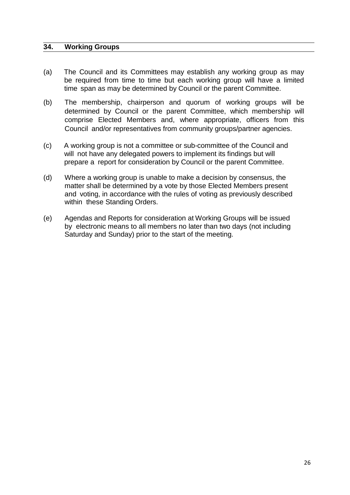#### **34. Working Groups**

- (a) The Council and its Committees may establish any working group as may be required from time to time but each working group will have a limited time span as may be determined by Council or the parent Committee.
- (b) The membership, chairperson and quorum of working groups will be determined by Council or the parent Committee, which membership will comprise Elected Members and, where appropriate, officers from this Council and/or representatives from community groups/partner agencies.
- (c) A working group is not a committee or sub-committee of the Council and will not have any delegated powers to implement its findings but will prepare a report for consideration by Council or the parent Committee.
- (d) Where a working group is unable to make a decision by consensus, the matter shall be determined by a vote by those Elected Members present and voting, in accordance with the rules of voting as previously described within these Standing Orders.
- (e) Agendas and Reports for consideration at Working Groups will be issued by electronic means to all members no later than two days (not including Saturday and Sunday) prior to the start of the meeting.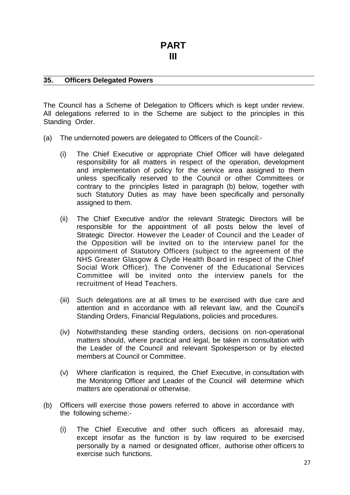#### **35. Officers Delegated Powers**

The Council has a Scheme of Delegation to Officers which is kept under review. All delegations referred to in the Scheme are subject to the principles in this Standing Order.

- (a) The undernoted powers are delegated to Officers of the Council:-
	- (i) The Chief Executive or appropriate Chief Officer will have delegated responsibility for all matters in respect of the operation, development and implementation of policy for the service area assigned to them unless specifically reserved to the Council or other Committees or contrary to the principles listed in paragraph (b) below, together with such Statutory Duties as may have been specifically and personally assigned to them.
	- (ii) The Chief Executive and/or the relevant Strategic Directors will be responsible for the appointment of all posts below the level of Strategic Director. However the Leader of Council and the Leader of the Opposition will be invited on to the interview panel for the appointment of Statutory Officers (subject to the agreement of the NHS Greater Glasgow & Clyde Health Board in respect of the Chief Social Work Officer). The Convener of the Educational Services Committee will be invited onto the interview panels for the recruitment of Head Teachers.
	- (iii) Such delegations are at all times to be exercised with due care and attention and in accordance with all relevant law, and the Council's Standing Orders, Financial Regulations, policies and procedures.
	- (iv) Notwithstanding these standing orders, decisions on non-operational matters should, where practical and legal, be taken in consultation with the Leader of the Council and relevant Spokesperson or by elected members at Council or Committee.
	- (v) Where clarification is required, the Chief Executive, in consultation with the Monitoring Officer and Leader of the Council will determine which matters are operational or otherwise.
- (b) Officers will exercise those powers referred to above in accordance with the following scheme:-
	- (i) The Chief Executive and other such officers as aforesaid may, except insofar as the function is by law required to be exercised personally by a named or designated officer, authorise other officers to exercise such functions.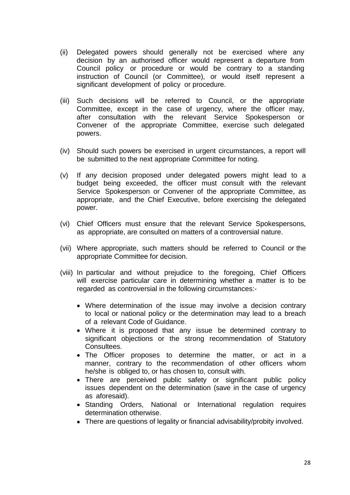- (ii) Delegated powers should generally not be exercised where any decision by an authorised officer would represent a departure from Council policy or procedure or would be contrary to a standing instruction of Council (or Committee), or would itself represent a significant development of policy or procedure.
- (iii) Such decisions will be referred to Council, or the appropriate Committee, except in the case of urgency, where the officer may, after consultation with the relevant Service Spokesperson or Convener of the appropriate Committee, exercise such delegated powers.
- (iv) Should such powers be exercised in urgent circumstances, a report will be submitted to the next appropriate Committee for noting.
- (v) If any decision proposed under delegated powers might lead to a budget being exceeded, the officer must consult with the relevant Service Spokesperson or Convener of the appropriate Committee, as appropriate, and the Chief Executive, before exercising the delegated power.
- (vi) Chief Officers must ensure that the relevant Service Spokespersons, as appropriate, are consulted on matters of a controversial nature.
- (vii) Where appropriate, such matters should be referred to Council or the appropriate Committee for decision.
- (viii) In particular and without prejudice to the foregoing, Chief Officers will exercise particular care in determining whether a matter is to be regarded as controversial in the following circumstances:-
	- Where determination of the issue may involve a decision contrary to local or national policy or the determination may lead to a breach of a relevant Code of Guidance.
	- Where it is proposed that any issue be determined contrary to significant objections or the strong recommendation of Statutory Consultees.
	- The Officer proposes to determine the matter, or act in a manner, contrary to the recommendation of other officers whom he/she is obliged to, or has chosen to, consult with.
	- There are perceived public safety or significant public policy issues dependent on the determination (save in the case of urgency as aforesaid).
	- Standing Orders, National or International regulation requires determination otherwise.
	- There are questions of legality or financial advisability/probity involved.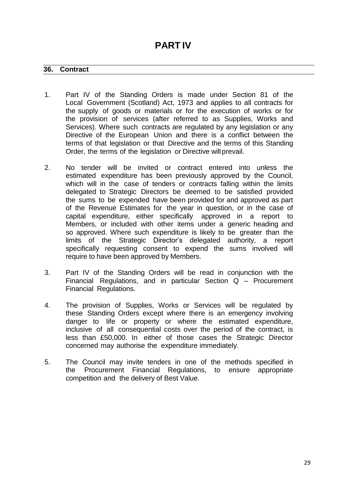#### **36. Contract**

- 1. Part IV of the Standing Orders is made under Section 81 of the Local Government (Scotland) Act, 1973 and applies to all contracts for the supply of goods or materials or for the execution of works or for the provision of services (after referred to as Supplies, Works and Services). Where such contracts are regulated by any legislation or any Directive of the European Union and there is a conflict between the terms of that legislation or that Directive and the terms of this Standing Order, the terms of the legislation or Directive willprevail.
- 2. No tender will be invited or contract entered into unless the estimated expenditure has been previously approved by the Council, which will in the case of tenders or contracts falling within the limits delegated to Strategic Directors be deemed to be satisfied provided the sums to be expended have been provided for and approved as part of the Revenue Estimates for the year in question, or in the case of capital expenditure, either specifically approved in a report to Members, or included with other items under a generic heading and so approved. Where such expenditure is likely to be greater than the limits of the Strategic Director's delegated authority, a report specifically requesting consent to expend the sums involved will require to have been approved by Members.
- 3. Part IV of the Standing Orders will be read in conjunction with the Financial Regulations, and in particular Section Q – Procurement Financial Regulations.
- 4. The provision of Supplies, Works or Services will be regulated by these Standing Orders except where there is an emergency involving danger to life or property or where the estimated expenditure, inclusive of all consequential costs over the period of the contract, is less than £50,000. In either of those cases the Strategic Director concerned may authorise the expenditure immediately.
- 5. The Council may invite tenders in one of the methods specified in the Procurement Financial Regulations, to ensure appropriate competition and the delivery of Best Value.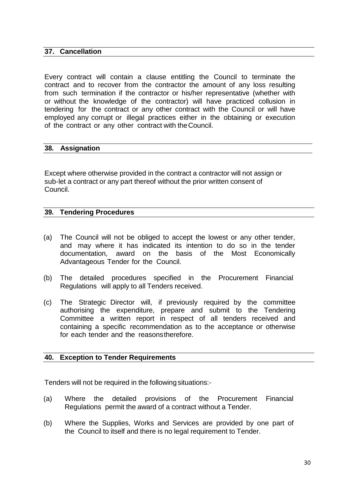## **37. Cancellation**

Every contract will contain a clause entitling the Council to terminate the contract and to recover from the contractor the amount of any loss resulting from such termination if the contractor or his/her representative (whether with or without the knowledge of the contractor) will have practiced collusion in tendering for the contract or any other contract with the Council or will have employed any corrupt or illegal practices either in the obtaining or execution of the contract or any other contract with theCouncil.

#### **38. Assignation**

Except where otherwise provided in the contract a contractor will not assign or sub-let a contract or any part thereof without the prior written consent of Council.

#### **39. Tendering Procedures**

- (a) The Council will not be obliged to accept the lowest or any other tender, and may where it has indicated its intention to do so in the tender documentation, award on the basis of the Most Economically Advantageous Tender for the Council.
- (b) The detailed procedures specified in the Procurement Financial Regulations will apply to all Tenders received.
- (c) The Strategic Director will, if previously required by the committee authorising the expenditure, prepare and submit to the Tendering Committee a written report in respect of all tenders received and containing a specific recommendation as to the acceptance or otherwise for each tender and the reasonstherefore.

## **40. Exception to Tender Requirements**

Tenders will not be required in the following situations:-

- (a) Where the detailed provisions of the Procurement Financial Regulations permit the award of a contract without a Tender.
- (b) Where the Supplies, Works and Services are provided by one part of the Council to itself and there is no legal requirement to Tender.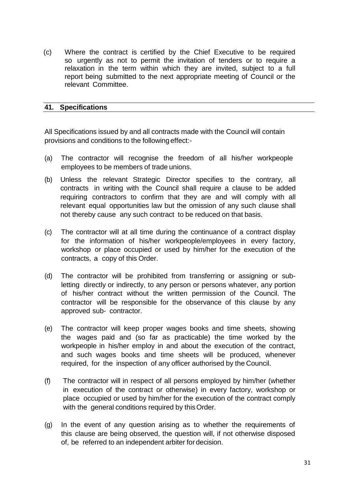(c) Where the contract is certified by the Chief Executive to be required so urgently as not to permit the invitation of tenders or to require a relaxation in the term within which they are invited, subject to a full report being submitted to the next appropriate meeting of Council or the relevant Committee.

#### **41. Specifications**

All Specifications issued by and all contracts made with the Council will contain provisions and conditions to the followingeffect:-

- (a) The contractor will recognise the freedom of all his/her workpeople employees to be members of trade unions.
- (b) Unless the relevant Strategic Director specifies to the contrary, all contracts in writing with the Council shall require a clause to be added requiring contractors to confirm that they are and will comply with all relevant equal opportunities law but the omission of any such clause shall not thereby cause any such contract to be reduced on that basis.
- (c) The contractor will at all time during the continuance of a contract display for the information of his/her workpeople/employees in every factory, workshop or place occupied or used by him/her for the execution of the contracts, a copy of this Order.
- (d) The contractor will be prohibited from transferring or assigning or subletting directly or indirectly, to any person or persons whatever, any portion of his/her contract without the written permission of the Council. The contractor will be responsible for the observance of this clause by any approved sub- contractor.
- (e) The contractor will keep proper wages books and time sheets, showing the wages paid and (so far as practicable) the time worked by the workpeople in his/her employ in and about the execution of the contract, and such wages books and time sheets will be produced, whenever required, for the inspection of any officer authorised by the Council.
- (f) The contractor will in respect of all persons employed by him/her (whether in execution of the contract or otherwise) in every factory, workshop or place occupied or used by him/her for the execution of the contract comply with the general conditions required by this Order.
- (g) In the event of any question arising as to whether the requirements of this clause are being observed, the question will, if not otherwise disposed of, be referred to an independent arbiter for decision.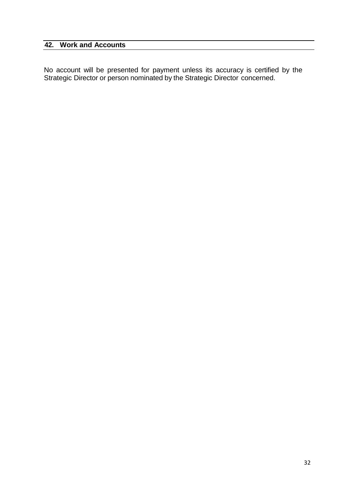## **42. Work and Accounts**

No account will be presented for payment unless its accuracy is certified by the Strategic Director or person nominated by the Strategic Director concerned.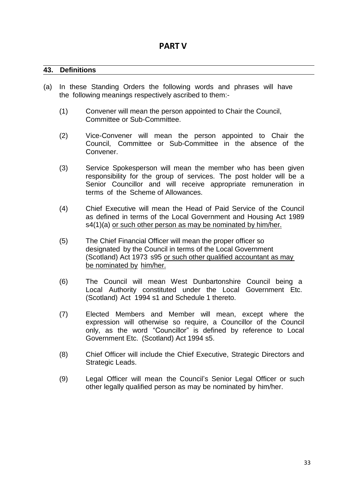#### **43. Definitions**

- (a) In these Standing Orders the following words and phrases will have the following meanings respectively ascribed to them:-
	- (1) Convener will mean the person appointed to Chair the Council, Committee or Sub-Committee.
	- (2) Vice-Convener will mean the person appointed to Chair the Council, Committee or Sub-Committee in the absence of the Convener.
	- (3) Service Spokesperson will mean the member who has been given responsibility for the group of services. The post holder will be a Senior Councillor and will receive appropriate remuneration in terms of the Scheme of Allowances.
	- (4) Chief Executive will mean the Head of Paid Service of the Council as defined in terms of the Local Government and Housing Act 1989 s4(1)(a) or such other person as may be nominated by him/her.
	- (5) The Chief Financial Officer will mean the proper officer so designated by the Council in terms of the Local Government (Scotland) Act 1973 s95 or such other qualified accountant as may be nominated by him/her.
	- (6) The Council will mean West Dunbartonshire Council being a Local Authority constituted under the Local Government Etc. (Scotland) Act 1994 s1 and Schedule 1 thereto.
	- (7) Elected Members and Member will mean, except where the expression will otherwise so require, a Councillor of the Council only, as the word "Councillor" is defined by reference to Local Government Etc. (Scotland) Act 1994 s5.
	- (8) Chief Officer will include the Chief Executive, Strategic Directors and Strategic Leads.
	- (9) Legal Officer will mean the Council's Senior Legal Officer or such other legally qualified person as may be nominated by him/her.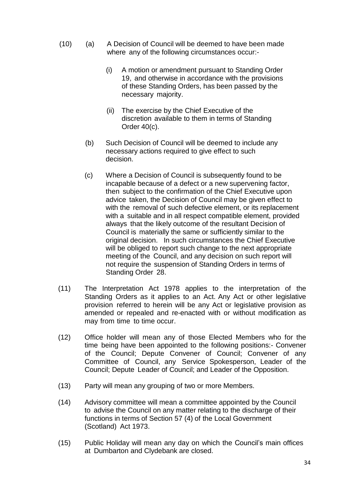- (10) (a) A Decision of Council will be deemed to have been made where any of the following circumstances occur:-
	- (i) A motion or amendment pursuant to Standing Order 19, and otherwise in accordance with the provisions of these Standing Orders, has been passed by the necessary majority.
	- (ii) The exercise by the Chief Executive of the discretion available to them in terms of Standing Order 40(c).
	- (b) Such Decision of Council will be deemed to include any necessary actions required to give effect to such decision.
	- (c) Where a Decision of Council is subsequently found to be incapable because of a defect or a new supervening factor, then subject to the confirmation of the Chief Executive upon advice taken, the Decision of Council may be given effect to with the removal of such defective element, or its replacement with a suitable and in all respect compatible element, provided always that the likely outcome of the resultant Decision of Council is materially the same or sufficiently similar to the original decision. In such circumstances the Chief Executive will be obliged to report such change to the next appropriate meeting of the Council, and any decision on such report will not require the suspension of Standing Orders in terms of Standing Order 28.
- (11) The Interpretation Act 1978 applies to the interpretation of the Standing Orders as it applies to an Act. Any Act or other legislative provision referred to herein will be any Act or legislative provision as amended or repealed and re-enacted with or without modification as may from time to time occur.
- (12) Office holder will mean any of those Elected Members who for the time being have been appointed to the following positions:- Convener of the Council; Depute Convener of Council; Convener of any Committee of Council, any Service Spokesperson, Leader of the Council; Depute Leader of Council; and Leader of the Opposition.
- (13) Party will mean any grouping of two or more Members.
- (14) Advisory committee will mean a committee appointed by the Council to advise the Council on any matter relating to the discharge of their functions in terms of Section 57 (4) of the Local Government (Scotland) Act 1973.
- (15) Public Holiday will mean any day on which the Council's main offices at Dumbarton and Clydebank are closed.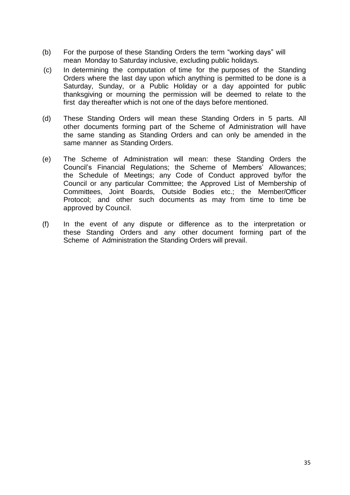- (b) For the purpose of these Standing Orders the term "working days" will mean Monday to Saturday inclusive, excluding public holidays.
- (c) In determining the computation of time for the purposes of the Standing Orders where the last day upon which anything is permitted to be done is a Saturday, Sunday, or a Public Holiday or a day appointed for public thanksgiving or mourning the permission will be deemed to relate to the first day thereafter which is not one of the days before mentioned.
- (d) These Standing Orders will mean these Standing Orders in 5 parts. All other documents forming part of the Scheme of Administration will have the same standing as Standing Orders and can only be amended in the same manner as Standing Orders.
- (e) The Scheme of Administration will mean: these Standing Orders the Council's Financial Regulations; the Scheme of Members' Allowances; the Schedule of Meetings; any Code of Conduct approved by/for the Council or any particular Committee; the Approved List of Membership of Committees, Joint Boards, Outside Bodies etc.; the Member/Officer Protocol; and other such documents as may from time to time be approved by Council.
- (f) In the event of any dispute or difference as to the interpretation or these Standing Orders and any other document forming part of the Scheme of Administration the Standing Orders will prevail.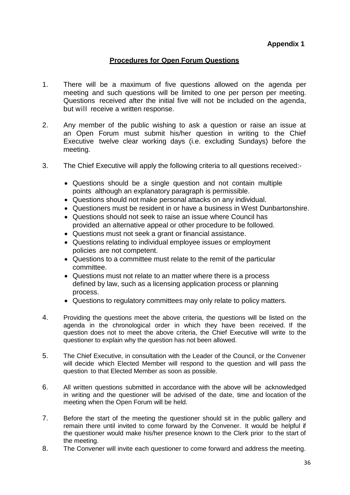## **Procedures for Open Forum Questions**

- 1. There will be a maximum of five questions allowed on the agenda per meeting and such questions will be limited to one per person per meeting. Questions received after the initial five will not be included on the agenda, but will receive a written response.
- 2. Any member of the public wishing to ask a question or raise an issue at an Open Forum must submit his/her question in writing to the Chief Executive twelve clear working days (i.e. excluding Sundays) before the meeting.
- 3. The Chief Executive will apply the following criteria to all questions received:-
	- Questions should be a single question and not contain multiple points although an explanatory paragraph is permissible.
	- Questions should not make personal attacks on any individual.
	- Questioners must be resident in or have a business in West Dunbartonshire.
	- Questions should not seek to raise an issue where Council has provided an alternative appeal or other procedure to be followed.
	- Questions must not seek a grant or financial assistance.
	- Questions relating to individual employee issues or employment policies are not competent.
	- Questions to a committee must relate to the remit of the particular committee.
	- Questions must not relate to an matter where there is a process defined by law, such as a licensing application process or planning process.
	- Questions to regulatory committees may only relate to policy matters.
- 4. Providing the questions meet the above criteria, the questions will be listed on the agenda in the chronological order in which they have been received. If the question does not to meet the above criteria, the Chief Executive will write to the questioner to explain why the question has not been allowed.
- 5. The Chief Executive, in consultation with the Leader of the Council, or the Convener will decide which Elected Member will respond to the question and will pass the question to that Elected Member as soon as possible.
- 6. All written questions submitted in accordance with the above will be acknowledged in writing and the questioner will be advised of the date, time and location of the meeting when the Open Forum will be held.
- 7. Before the start of the meeting the questioner should sit in the public gallery and remain there until invited to come forward by the Convener. It would be helpful if the questioner would make his/her presence known to the Clerk prior to the start of the meeting.
- 8. The Convener will invite each questioner to come forward and address the meeting.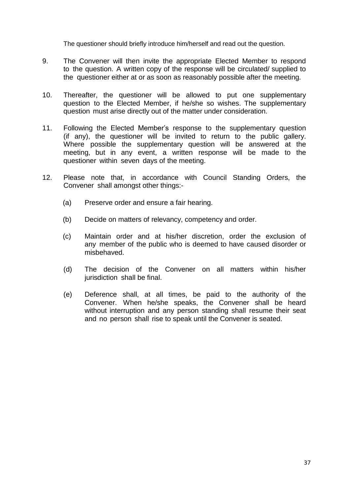The questioner should briefly introduce him/herself and read out the question.

- 9. The Convener will then invite the appropriate Elected Member to respond to the question. A written copy of the response will be circulated/ supplied to the questioner either at or as soon as reasonably possible after the meeting.
- 10. Thereafter, the questioner will be allowed to put one supplementary question to the Elected Member, if he/she so wishes. The supplementary question must arise directly out of the matter under consideration.
- 11. Following the Elected Member's response to the supplementary question (if any), the questioner will be invited to return to the public gallery. Where possible the supplementary question will be answered at the meeting, but in any event, a written response will be made to the questioner within seven days of the meeting.
- 12. Please note that, in accordance with Council Standing Orders, the Convener shall amongst other things:-
	- (a) Preserve order and ensure a fair hearing.
	- (b) Decide on matters of relevancy, competency and order.
	- (c) Maintain order and at his/her discretion, order the exclusion of any member of the public who is deemed to have caused disorder or misbehaved.
	- (d) The decision of the Convener on all matters within his/her jurisdiction shall be final.
	- (e) Deference shall, at all times, be paid to the authority of the Convener. When he/she speaks, the Convener shall be heard without interruption and any person standing shall resume their seat and no person shall rise to speak until the Convener is seated.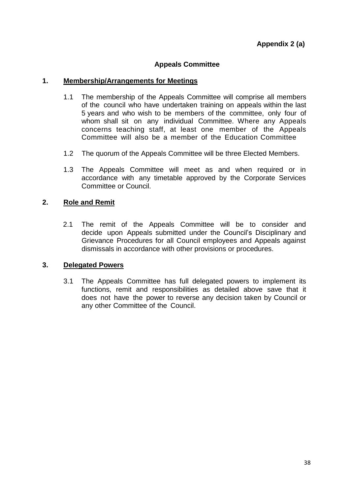## **Appeals Committee**

#### **1. Membership/Arrangements for Meetings**

- 1.1 The membership of the Appeals Committee will comprise all members of the council who have undertaken training on appeals within the last 5 years and who wish to be members of the committee, only four of whom shall sit on any individual Committee. Where any Appeals concerns teaching staff, at least one member of the Appeals Committee will also be a member of the Education Committee
- 1.2 The quorum of the Appeals Committee will be three Elected Members.
- 1.3 The Appeals Committee will meet as and when required or in accordance with any timetable approved by the Corporate Services Committee or Council.

## **2. Role and Remit**

2.1 The remit of the Appeals Committee will be to consider and decide upon Appeals submitted under the Council's Disciplinary and Grievance Procedures for all Council employees and Appeals against dismissals in accordance with other provisions or procedures.

#### **3. Delegated Powers**

3.1 The Appeals Committee has full delegated powers to implement its functions, remit and responsibilities as detailed above save that it does not have the power to reverse any decision taken by Council or any other Committee of the Council.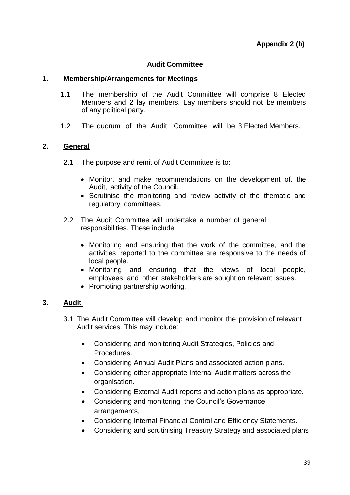## **Audit Committee**

## **1. Membership/Arrangements for Meetings**

- 1.1 The membership of the Audit Committee will comprise 8 Elected Members and 2 lay members. Lay members should not be members of any political party.
- 1.2 The quorum of the Audit Committee will be 3 Elected Members.

## **2. General**

- 2.1 The purpose and remit of Audit Committee is to:
	- Monitor, and make recommendations on the development of, the Audit, activity of the Council.
	- Scrutinise the monitoring and review activity of the thematic and regulatory committees.
- 2.2 The Audit Committee will undertake a number of general responsibilities. These include:
	- Monitoring and ensuring that the work of the committee, and the activities reported to the committee are responsive to the needs of local people.
	- Monitoring and ensuring that the views of local people, employees and other stakeholders are sought on relevant issues.
	- Promoting partnership working.

## **3. Audit**

- 3.1 The Audit Committee will develop and monitor the provision of relevant Audit services. This may include:
	- Considering and monitoring Audit Strategies, Policies and Procedures.
	- Considering Annual Audit Plans and associated action plans.
	- Considering other appropriate Internal Audit matters across the organisation.
	- Considering External Audit reports and action plans as appropriate.
	- Considering and monitoring the Council's Governance arrangements,
	- Considering Internal Financial Control and Efficiency Statements.
	- Considering and scrutinising Treasury Strategy and associated plans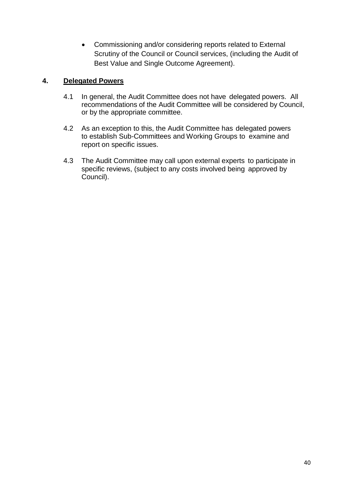Commissioning and/or considering reports related to External Scrutiny of the Council or Council services, (including the Audit of Best Value and Single Outcome Agreement).

## **4. Delegated Powers**

- 4.1 In general, the Audit Committee does not have delegated powers. All recommendations of the Audit Committee will be considered by Council, or by the appropriate committee.
- 4.2 As an exception to this, the Audit Committee has delegated powers to establish Sub-Committees and Working Groups to examine and report on specific issues.
- 4.3 The Audit Committee may call upon external experts to participate in specific reviews, (subject to any costs involved being approved by Council).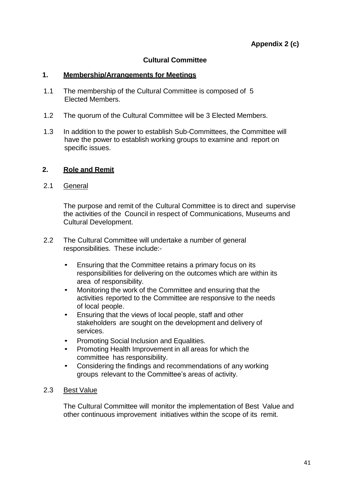## **Cultural Committee**

## **1. Membership/Arrangements for Meetings**

- 1.1 The membership of the Cultural Committee is composed of 5 Elected Members.
- 1.2 The quorum of the Cultural Committee will be 3 Elected Members.
- 1.3 In addition to the power to establish Sub-Committees, the Committee will have the power to establish working groups to examine and report on specific issues.

## **2. Role and Remit**

2.1 General

The purpose and remit of the Cultural Committee is to direct and supervise the activities of the Council in respect of Communications, Museums and Cultural Development.

- 2.2 The Cultural Committee will undertake a number of general responsibilities. These include:-
	- Ensuring that the Committee retains a primary focus on its responsibilities for delivering on the outcomes which are within its area of responsibility.
	- Monitoring the work of the Committee and ensuring that the activities reported to the Committee are responsive to the needs of local people.
	- Ensuring that the views of local people, staff and other stakeholders are sought on the development and delivery of services.
	- Promoting Social Inclusion and Equalities.
	- Promoting Health Improvement in all areas for which the committee has responsibility.
	- Considering the findings and recommendations of any working groups relevant to the Committee's areas of activity.

## 2.3 Best Value

The Cultural Committee will monitor the implementation of Best Value and other continuous improvement initiatives within the scope of its remit.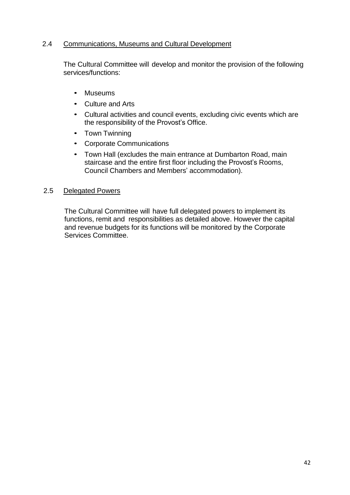## 2.4 Communications, Museums and Cultural Development

The Cultural Committee will develop and monitor the provision of the following services/functions:

- Museums
- Culture and Arts
- Cultural activities and council events, excluding civic events which are the responsibility of the Provost's Office.
- Town Twinning
- Corporate Communications
- Town Hall (excludes the main entrance at Dumbarton Road, main staircase and the entire first floor including the Provost's Rooms, Council Chambers and Members' accommodation).

## 2.5 Delegated Powers

The Cultural Committee will have full delegated powers to implement its functions, remit and responsibilities as detailed above. However the capital and revenue budgets for its functions will be monitored by the Corporate Services Committee.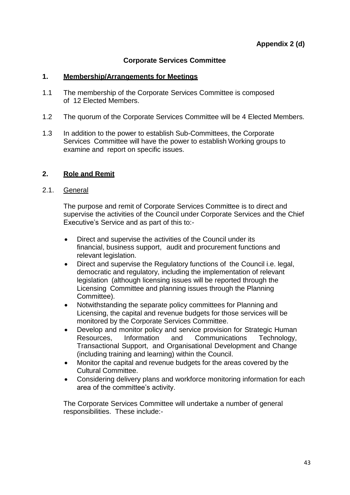## **Corporate Services Committee**

## **1. Membership/Arrangements for Meetings**

- 1.1 The membership of the Corporate Services Committee is composed of 12 Elected Members.
- 1.2 The quorum of the Corporate Services Committee will be 4 Elected Members.
- 1.3 In addition to the power to establish Sub-Committees, the Corporate Services Committee will have the power to establish Working groups to examine and report on specific issues.

## **2. Role and Remit**

## 2.1. General

The purpose and remit of Corporate Services Committee is to direct and supervise the activities of the Council under Corporate Services and the Chief Executive's Service and as part of this to:-

- Direct and supervise the activities of the Council under its financial, business support, audit and procurement functions and relevant legislation.
- Direct and supervise the Regulatory functions of the Council i.e. legal, democratic and regulatory, including the implementation of relevant legislation (although licensing issues will be reported through the Licensing Committee and planning issues through the Planning Committee).
- Notwithstanding the separate policy committees for Planning and Licensing, the capital and revenue budgets for those services will be monitored by the Corporate Services Committee.
- Develop and monitor policy and service provision for Strategic Human Resources, Information and Communications Technology, Transactional Support, and Organisational Development and Change (including training and learning) within the Council.
- Monitor the capital and revenue budgets for the areas covered by the Cultural Committee.
- Considering delivery plans and workforce monitoring information for each area of the committee's activity.

The Corporate Services Committee will undertake a number of general responsibilities. These include:-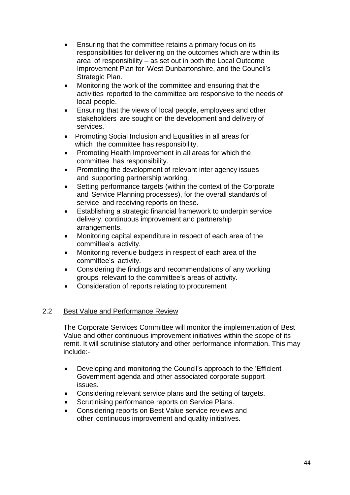- Ensuring that the committee retains a primary focus on its responsibilities for delivering on the outcomes which are within its area of responsibility – as set out in both the Local Outcome Improvement Plan for West Dunbartonshire, and the Council's Strategic Plan.
- Monitoring the work of the committee and ensuring that the activities reported to the committee are responsive to the needs of local people.
- Ensuring that the views of local people, employees and other stakeholders are sought on the development and delivery of services.
- Promoting Social Inclusion and Equalities in all areas for which the committee has responsibility.
- Promoting Health Improvement in all areas for which the committee has responsibility.
- Promoting the development of relevant inter agency issues and supporting partnership working.
- Setting performance targets (within the context of the Corporate and Service Planning processes), for the overall standards of service and receiving reports on these.
- Establishing a strategic financial framework to underpin service delivery, continuous improvement and partnership arrangements.
- Monitoring capital expenditure in respect of each area of the committee's activity.
- Monitoring revenue budgets in respect of each area of the committee's activity.
- Considering the findings and recommendations of any working groups relevant to the committee's areas of activity.
- Consideration of reports relating to procurement

## 2.2 Best Value and Performance Review

The Corporate Services Committee will monitor the implementation of Best Value and other continuous improvement initiatives within the scope of its remit. It will scrutinise statutory and other performance information. This may include:-

- Developing and monitoring the Council's approach to the 'Efficient Government agenda and other associated corporate support issues.
- Considering relevant service plans and the setting of targets.
- Scrutinising performance reports on Service Plans.
- Considering reports on Best Value service reviews and other continuous improvement and quality initiatives.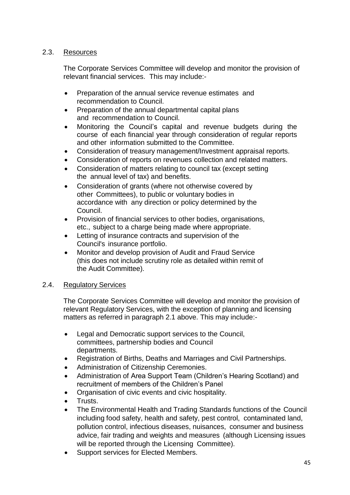## 2.3. Resources

The Corporate Services Committee will develop and monitor the provision of relevant financial services. This may include:-

- Preparation of the annual service revenue estimates and recommendation to Council.
- Preparation of the annual departmental capital plans and recommendation to Council.
- Monitoring the Council's capital and revenue budgets during the course of each financial year through consideration of regular reports and other information submitted to the Committee.
- Consideration of treasury management/Investment appraisal reports.
- Consideration of reports on revenues collection and related matters.
- Consideration of matters relating to council tax (except setting the annual level of tax) and benefits.
- Consideration of grants (where not otherwise covered by other Committees), to public or voluntary bodies in accordance with any direction or policy determined by the Council.
- Provision of financial services to other bodies, organisations, etc., subject to a charge being made where appropriate.
- Letting of insurance contracts and supervision of the Council's insurance portfolio.
- Monitor and develop provision of Audit and Fraud Service (this does not include scrutiny role as detailed within remit of the Audit Committee).

## 2.4. Regulatory Services

The Corporate Services Committee will develop and monitor the provision of relevant Regulatory Services, with the exception of planning and licensing matters as referred in paragraph 2.1 above. This may include:-

- Legal and Democratic support services to the Council, committees, partnership bodies and Council departments.
- Registration of Births, Deaths and Marriages and Civil Partnerships.
- Administration of Citizenship Ceremonies.
- Administration of Area Support Team (Children's Hearing Scotland) and recruitment of members of the Children's Panel
- Organisation of civic events and civic hospitality.
- Trusts.
- The Environmental Health and Trading Standards functions of the Council including food safety, health and safety, pest control, contaminated land, pollution control, infectious diseases, nuisances, consumer and business advice, fair trading and weights and measures (although Licensing issues will be reported through the Licensing Committee).
- Support services for Elected Members.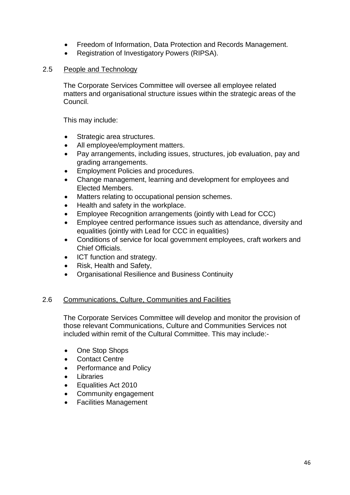- Freedom of Information, Data Protection and Records Management.
- Registration of Investigatory Powers (RIPSA).

## 2.5 People and Technology

The Corporate Services Committee will oversee all employee related matters and organisational structure issues within the strategic areas of the Council.

This may include:

- Strategic area structures.
- All employee/employment matters.
- Pay arrangements, including issues, structures, job evaluation, pay and grading arrangements.
- **Employment Policies and procedures.**
- Change management, learning and development for employees and Elected Members.
- Matters relating to occupational pension schemes.
- Health and safety in the workplace.
- Employee Recognition arrangements (jointly with Lead for CCC)
- Employee centred performance issues such as attendance, diversity and equalities (jointly with Lead for CCC in equalities)
- Conditions of service for local government employees, craft workers and Chief Officials.
- ICT function and strategy.
- Risk, Health and Safety,
- Organisational Resilience and Business Continuity

## 2.6 Communications, Culture, Communities and Facilities

The Corporate Services Committee will develop and monitor the provision of those relevant Communications, Culture and Communities Services not included within remit of the Cultural Committee. This may include:-

- One Stop Shops
- Contact Centre
- Performance and Policy
- Libraries
- Equalities Act 2010
- Community engagement
- Facilities Management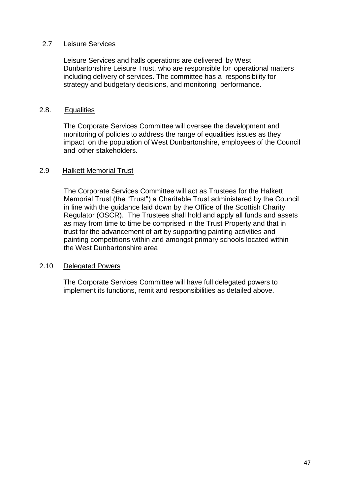## 2.7 Leisure Services

Leisure Services and halls operations are delivered by West Dunbartonshire Leisure Trust, who are responsible for operational matters including delivery of services. The committee has a responsibility for strategy and budgetary decisions, and monitoring performance.

#### 2.8. Equalities

The Corporate Services Committee will oversee the development and monitoring of policies to address the range of equalities issues as they impact on the population of West Dunbartonshire, employees of the Council and other stakeholders.

#### 2.9 Halkett Memorial Trust

The Corporate Services Committee will act as Trustees for the Halkett Memorial Trust (the "Trust") a Charitable Trust administered by the Council in line with the guidance laid down by the Office of the Scottish Charity Regulator (OSCR). The Trustees shall hold and apply all funds and assets as may from time to time be comprised in the Trust Property and that in trust for the advancement of art by supporting painting activities and painting competitions within and amongst primary schools located within the West Dunbartonshire area

#### 2.10 Delegated Powers

The Corporate Services Committee will have full delegated powers to implement its functions, remit and responsibilities as detailed above.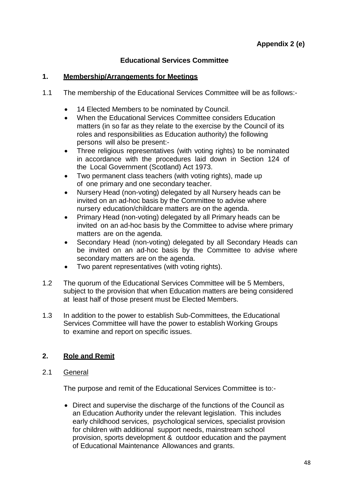## **Educational Services Committee**

## **1. Membership/Arrangements for Meetings**

- 1.1 The membership of the Educational Services Committee will be as follows:-
	- 14 Elected Members to be nominated by Council.
	- When the Educational Services Committee considers Education matters (in so far as they relate to the exercise by the Council of its roles and responsibilities as Education authority) the following persons will also be present:-
	- Three religious representatives (with voting rights) to be nominated in accordance with the procedures laid down in Section 124 of the Local Government (Scotland) Act 1973.
	- Two permanent class teachers (with voting rights), made up of one primary and one secondary teacher.
	- Nursery Head (non-voting) delegated by all Nursery heads can be invited on an ad-hoc basis by the Committee to advise where nursery education/childcare matters are on the agenda.
	- Primary Head (non-voting) delegated by all Primary heads can be invited on an ad-hoc basis by the Committee to advise where primary matters are on the agenda.
	- Secondary Head (non-voting) delegated by all Secondary Heads can be invited on an ad-hoc basis by the Committee to advise where secondary matters are on the agenda.
	- Two parent representatives (with voting rights).
- 1.2 The quorum of the Educational Services Committee will be 5 Members, subject to the provision that when Education matters are being considered at least half of those present must be Elected Members.
- 1.3 In addition to the power to establish Sub-Committees, the Educational Services Committee will have the power to establish Working Groups to examine and report on specific issues.

## **2. Role and Remit**

2.1 General

The purpose and remit of the Educational Services Committee is to:-

 Direct and supervise the discharge of the functions of the Council as an Education Authority under the relevant legislation. This includes early childhood services, psychological services, specialist provision for children with additional support needs, mainstream school provision, sports development & outdoor education and the payment of Educational Maintenance Allowances and grants.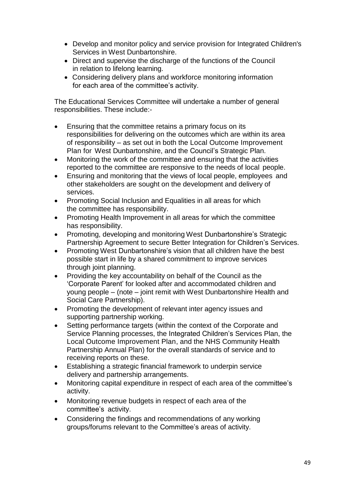- Develop and monitor policy and service provision for Integrated Children's Services in West Dunbartonshire.
- Direct and supervise the discharge of the functions of the Council in relation to lifelong learning.
- Considering delivery plans and workforce monitoring information for each area of the committee's activity.

The Educational Services Committee will undertake a number of general responsibilities. These include:-

- Ensuring that the committee retains a primary focus on its responsibilities for delivering on the outcomes which are within its area of responsibility – as set out in both the Local Outcome Improvement Plan for West Dunbartonshire, and the Council's Strategic Plan.
- Monitoring the work of the committee and ensuring that the activities reported to the committee are responsive to the needs of local people.
- Ensuring and monitoring that the views of local people, employees and other stakeholders are sought on the development and delivery of services.
- Promoting Social Inclusion and Equalities in all areas for which the committee has responsibility.
- Promoting Health Improvement in all areas for which the committee has responsibility.
- Promoting, developing and monitoring West Dunbartonshire's Strategic Partnership Agreement to secure Better Integration for Children's Services.
- Promoting West Dunbartonshire's vision that all children have the best possible start in life by a shared commitment to improve services through joint planning.
- Providing the key accountability on behalf of the Council as the 'Corporate Parent' for looked after and accommodated children and young people – (note – joint remit with West Dunbartonshire Health and Social Care Partnership).
- Promoting the development of relevant inter agency issues and supporting partnership working.
- Setting performance targets (within the context of the Corporate and Service Planning processes, the Integrated Children's Services Plan, the Local Outcome Improvement Plan, and the NHS Community Health Partnership Annual Plan) for the overall standards of service and to receiving reports on these.
- Establishing a strategic financial framework to underpin service delivery and partnership arrangements.
- Monitoring capital expenditure in respect of each area of the committee's activity.
- Monitoring revenue budgets in respect of each area of the committee's activity.
- Considering the findings and recommendations of any working groups/forums relevant to the Committee's areas of activity.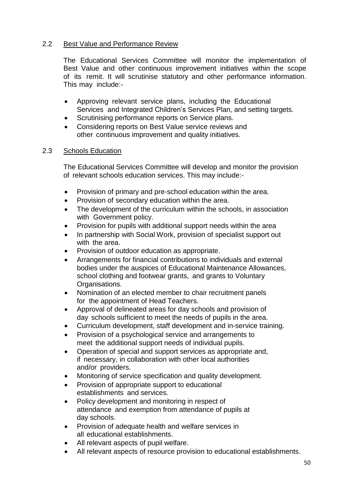## 2.2 Best Value and Performance Review

The Educational Services Committee will monitor the implementation of Best Value and other continuous improvement initiatives within the scope of its remit. It will scrutinise statutory and other performance information. This may include:-

- Approving relevant service plans, including the Educational Services and Integrated Children's Services Plan, and setting targets.
- Scrutinising performance reports on Service plans.
- Considering reports on Best Value service reviews and other continuous improvement and quality initiatives.

## 2.3 Schools Education

The Educational Services Committee will develop and monitor the provision of relevant schools education services. This may include:-

- Provision of primary and pre-school education within the area.
- Provision of secondary education within the area.
- The development of the curriculum within the schools, in association with Government policy.
- Provision for pupils with additional support needs within the area
- In partnership with Social Work, provision of specialist support out with the area.
- Provision of outdoor education as appropriate.
- Arrangements for financial contributions to individuals and external bodies under the auspices of Educational Maintenance Allowances, school clothing and footwear grants, and grants to Voluntary Organisations.
- Nomination of an elected member to chair recruitment panels for the appointment of Head Teachers.
- Approval of delineated areas for day schools and provision of day schools sufficient to meet the needs of pupils in the area.
- Curriculum development, staff development and in-service training.
- Provision of a psychological service and arrangements to meet the additional support needs of individual pupils.
- Operation of special and support services as appropriate and, if necessary, in collaboration with other local authorities and/or providers.
- Monitoring of service specification and quality development.
- Provision of appropriate support to educational establishments and services.
- Policy development and monitoring in respect of attendance and exemption from attendance of pupils at day schools.
- Provision of adequate health and welfare services in all educational establishments.
- All relevant aspects of pupil welfare.
- All relevant aspects of resource provision to educational establishments.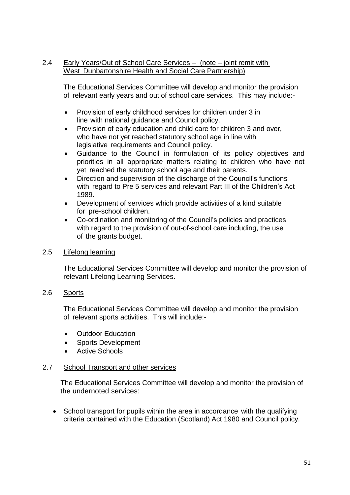## 2.4 Early Years/Out of School Care Services – (note – joint remit with West Dunbartonshire Health and Social Care Partnership)

The Educational Services Committee will develop and monitor the provision of relevant early years and out of school care services. This may include:-

- Provision of early childhood services for children under 3 in line with national guidance and Council policy.
- Provision of early education and child care for children 3 and over, who have not yet reached statutory school age in line with legislative requirements and Council policy.
- Guidance to the Council in formulation of its policy objectives and priorities in all appropriate matters relating to children who have not yet reached the statutory school age and their parents.
- Direction and supervision of the discharge of the Council's functions with regard to Pre 5 services and relevant Part III of the Children's Act 1989.
- Development of services which provide activities of a kind suitable for pre-school children.
- Co-ordination and monitoring of the Council's policies and practices with regard to the provision of out-of-school care including, the use of the grants budget.

## 2.5 Lifelong learning

The Educational Services Committee will develop and monitor the provision of relevant Lifelong Learning Services.

## 2.6 Sports

The Educational Services Committee will develop and monitor the provision of relevant sports activities. This will include:-

- Outdoor Education
- Sports Development
- Active Schools

## 2.7 School Transport and other services

The Educational Services Committee will develop and monitor the provision of the undernoted services:

• School transport for pupils within the area in accordance with the qualifying criteria contained with the Education (Scotland) Act 1980 and Council policy.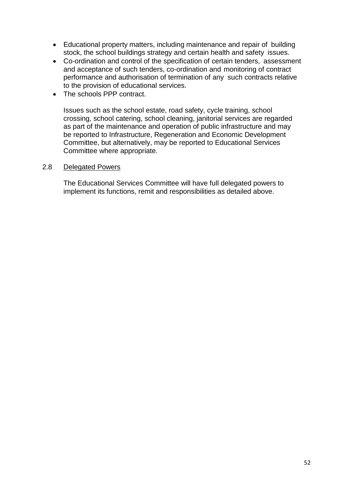- Educational property matters, including maintenance and repair of building stock, the school buildings strategy and certain health and safety issues.
- Co-ordination and control of the specification of certain tenders, assessment and acceptance of such tenders, co-ordination and monitoring of contract performance and authorisation of termination of any such contracts relative to the provision of educational services.
- The schools PPP contract.

Issues such as the school estate, road safety, cycle training, school crossing, school catering, school cleaning, janitorial services are regarded as part of the maintenance and operation of public infrastructure and may be reported to Infrastructure, Regeneration and Economic Development Committee, but alternatively, may be reported to Educational Services Committee where appropriate.

## 2.8 Delegated Powers

The Educational Services Committee will have full delegated powers to implement its functions, remit and responsibilities as detailed above.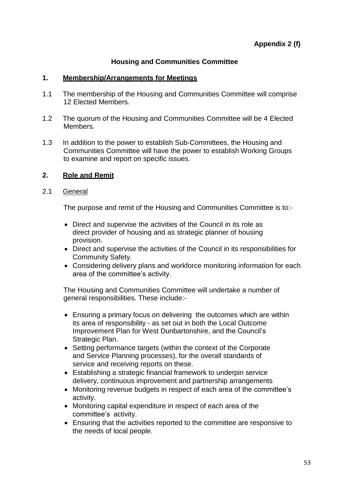## **Housing and Communities Committee**

## **1. Membership/Arrangements for Meetings**

- 1.1 The membership of the Housing and Communities Committee will comprise 12 Elected Members.
- 1.2 The quorum of the Housing and Communities Committee will be 4 Elected Members.
- 1.3 In addition to the power to establish Sub-Committees, the Housing and Communities Committee will have the power to establish Working Groups to examine and report on specific issues.

## **2. Role and Remit**

## 2.1 General

The purpose and remit of the Housing and Communities Committee is to:-

- Direct and supervise the activities of the Council in its role as direct provider of housing and as strategic planner of housing provision.
- Direct and supervise the activities of the Council in its responsibilities for Community Safety.
- Considering delivery plans and workforce monitoring information for each area of the committee's activity.

The Housing and Communities Committee will undertake a number of general responsibilities. These include:-

- Ensuring a primary focus on delivering the outcomes which are within its area of responsibility - as set out in both the Local Outcome Improvement Plan for West Dunbartonshire, and the Council's Strategic Plan.
- Setting performance targets (within the context of the Corporate and Service Planning processes), for the overall standards of service and receiving reports on these.
- Establishing a strategic financial framework to underpin service delivery, continuous improvement and partnership arrangements
- Monitoring revenue budgets in respect of each area of the committee's activity.
- Monitoring capital expenditure in respect of each area of the committee's activity.
- Ensuring that the activities reported to the committee are responsive to the needs of local people.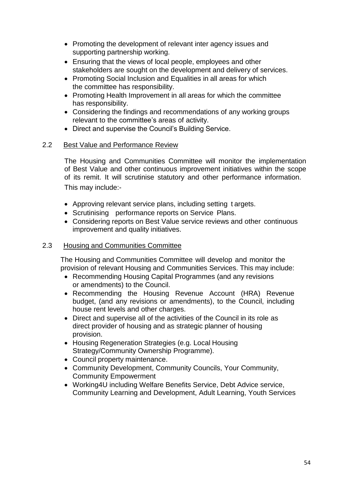- Promoting the development of relevant inter agency issues and supporting partnership working.
- Ensuring that the views of local people, employees and other stakeholders are sought on the development and delivery of services.
- Promoting Social Inclusion and Equalities in all areas for which the committee has responsibility.
- Promoting Health Improvement in all areas for which the committee has responsibility.
- Considering the findings and recommendations of any working groups relevant to the committee's areas of activity.
- Direct and supervise the Council's Building Service.

## 2.2 Best Value and Performance Review

The Housing and Communities Committee will monitor the implementation of Best Value and other continuous improvement initiatives within the scope of its remit. It will scrutinise statutory and other performance information. This may include:-

- Approving relevant service plans, including setting t argets.
- Scrutinising performance reports on Service Plans.
- Considering reports on Best Value service reviews and other continuous improvement and quality initiatives.

## 2.3 Housing and Communities Committee

The Housing and Communities Committee will develop and monitor the provision of relevant Housing and Communities Services. This may include:

- Recommending Housing Capital Programmes (and any revisions or amendments) to the Council.
- Recommending the Housing Revenue Account (HRA) Revenue budget, (and any revisions or amendments), to the Council, including house rent levels and other charges.
- Direct and supervise all of the activities of the Council in its role as direct provider of housing and as strategic planner of housing provision.
- Housing Regeneration Strategies (e.g. Local Housing Strategy/Community Ownership Programme).
- Council property maintenance.
- Community Development, Community Councils, Your Community, Community Empowerment
- Working4U including Welfare Benefits Service, Debt Advice service, Community Learning and Development, Adult Learning, Youth Services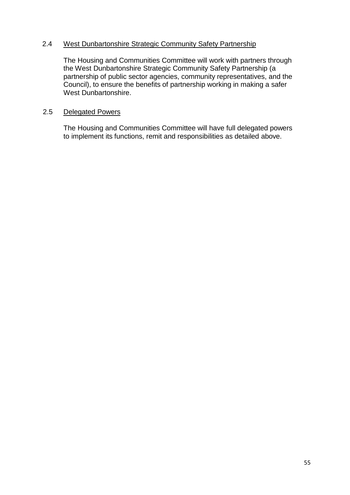## 2.4 West Dunbartonshire Strategic Community Safety Partnership

The Housing and Communities Committee will work with partners through the West Dunbartonshire Strategic Community Safety Partnership (a partnership of public sector agencies, community representatives, and the Council), to ensure the benefits of partnership working in making a safer West Dunbartonshire.

## 2.5 Delegated Powers

The Housing and Communities Committee will have full delegated powers to implement its functions, remit and responsibilities as detailed above.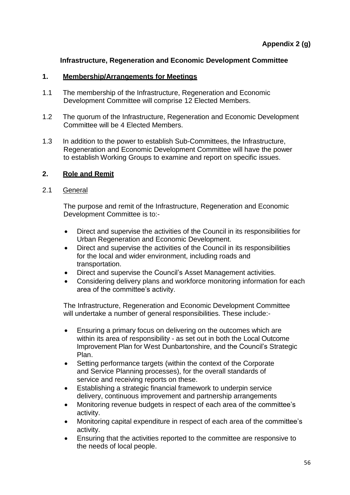## **Infrastructure, Regeneration and Economic Development Committee**

#### **1. Membership/Arrangements for Meetings**

- 1.1 The membership of the Infrastructure, Regeneration and Economic Development Committee will comprise 12 Elected Members.
- 1.2 The quorum of the Infrastructure, Regeneration and Economic Development Committee will be 4 Elected Members.
- 1.3 In addition to the power to establish Sub-Committees, the Infrastructure, Regeneration and Economic Development Committee will have the power to establish Working Groups to examine and report on specific issues.

## **2. Role and Remit**

#### 2.1 General

The purpose and remit of the Infrastructure, Regeneration and Economic Development Committee is to:-

- Direct and supervise the activities of the Council in its responsibilities for Urban Regeneration and Economic Development.
- Direct and supervise the activities of the Council in its responsibilities for the local and wider environment, including roads and transportation.
- Direct and supervise the Council's Asset Management activities.
- Considering delivery plans and workforce monitoring information for each area of the committee's activity.

The Infrastructure, Regeneration and Economic Development Committee will undertake a number of general responsibilities. These include:-

- Ensuring a primary focus on delivering on the outcomes which are within its area of responsibility - as set out in both the Local Outcome Improvement Plan for West Dunbartonshire, and the Council's Strategic Plan.
- Setting performance targets (within the context of the Corporate and Service Planning processes), for the overall standards of service and receiving reports on these.
- Establishing a strategic financial framework to underpin service delivery, continuous improvement and partnership arrangements
- Monitoring revenue budgets in respect of each area of the committee's activity.
- Monitoring capital expenditure in respect of each area of the committee's activity.
- Ensuring that the activities reported to the committee are responsive to the needs of local people.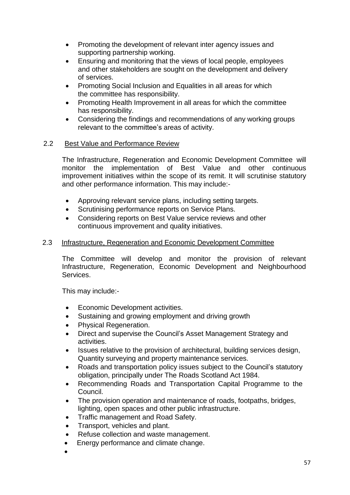- Promoting the development of relevant inter agency issues and supporting partnership working.
- Ensuring and monitoring that the views of local people, employees and other stakeholders are sought on the development and delivery of services.
- Promoting Social Inclusion and Equalities in all areas for which the committee has responsibility.
- Promoting Health Improvement in all areas for which the committee has responsibility.
- Considering the findings and recommendations of any working groups relevant to the committee's areas of activity.

## 2.2 Best Value and Performance Review

The Infrastructure, Regeneration and Economic Development Committee will monitor the implementation of Best Value and other continuous improvement initiatives within the scope of its remit. It will scrutinise statutory and other performance information. This may include:-

- Approving relevant service plans, including setting targets.
- Scrutinising performance reports on Service Plans.
- Considering reports on Best Value service reviews and other continuous improvement and quality initiatives.

## 2.3 Infrastructure, Regeneration and Economic Development Committee

The Committee will develop and monitor the provision of relevant Infrastructure, Regeneration, Economic Development and Neighbourhood Services.

This may include:-

- Economic Development activities.
- Sustaining and growing employment and driving growth
- Physical Regeneration.
- Direct and supervise the Council's Asset Management Strategy and activities.
- Issues relative to the provision of architectural, building services design, Quantity surveying and property maintenance services.
- Roads and transportation policy issues subject to the Council's statutory obligation, principally under The Roads Scotland Act 1984.
- Recommending Roads and Transportation Capital Programme to the Council.
- The provision operation and maintenance of roads, footpaths, bridges, lighting, open spaces and other public infrastructure.
- Traffic management and Road Safety.
- Transport, vehicles and plant.
- Refuse collection and waste management.
- Energy performance and climate change.
- $\bullet$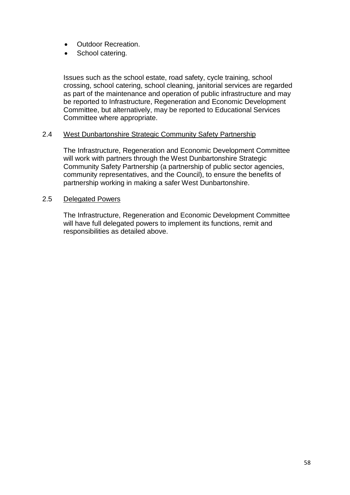- Outdoor Recreation.
- School catering.

Issues such as the school estate, road safety, cycle training, school crossing, school catering, school cleaning, janitorial services are regarded as part of the maintenance and operation of public infrastructure and may be reported to Infrastructure, Regeneration and Economic Development Committee, but alternatively, may be reported to Educational Services Committee where appropriate.

## 2.4 West Dunbartonshire Strategic Community Safety Partnership

The Infrastructure, Regeneration and Economic Development Committee will work with partners through the West Dunbartonshire Strategic Community Safety Partnership (a partnership of public sector agencies, community representatives, and the Council), to ensure the benefits of partnership working in making a safer West Dunbartonshire.

## 2.5 Delegated Powers

The Infrastructure, Regeneration and Economic Development Committee will have full delegated powers to implement its functions, remit and responsibilities as detailed above.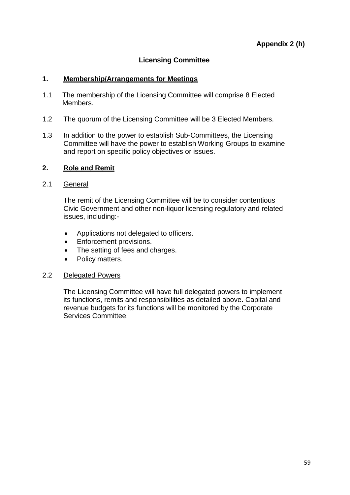## **Licensing Committee**

## **1. Membership/Arrangements for Meetings**

- 1.1 The membership of the Licensing Committee will comprise 8 Elected Members.
- 1.2 The quorum of the Licensing Committee will be 3 Elected Members.
- 1.3 In addition to the power to establish Sub-Committees, the Licensing Committee will have the power to establish Working Groups to examine and report on specific policy objectives or issues.

## **2. Role and Remit**

## 2.1 General

The remit of the Licensing Committee will be to consider contentious Civic Government and other non-liquor licensing regulatory and related issues, including:-

- Applications not delegated to officers.
- **•** Enforcement provisions.
- The setting of fees and charges.
- Policy matters.

## 2.2 Delegated Powers

The Licensing Committee will have full delegated powers to implement its functions, remits and responsibilities as detailed above. Capital and revenue budgets for its functions will be monitored by the Corporate Services Committee.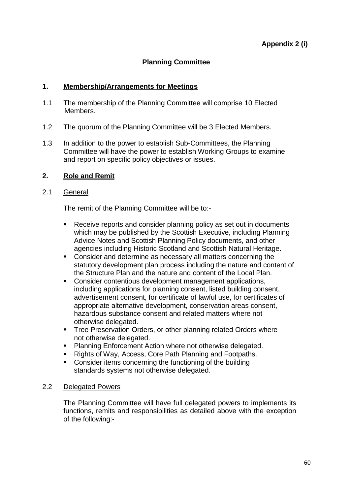## **Planning Committee**

## **1. Membership/Arrangements for Meetings**

- 1.1 The membership of the Planning Committee will comprise 10 Elected Members.
- 1.2 The quorum of the Planning Committee will be 3 Elected Members.
- 1.3 In addition to the power to establish Sub-Committees, the Planning Committee will have the power to establish Working Groups to examine and report on specific policy objectives or issues.

#### **2. Role and Remit**

#### 2.1 General

The remit of the Planning Committee will be to:-

- Receive reports and consider planning policy as set out in documents which may be published by the Scottish Executive, including Planning Advice Notes and Scottish Planning Policy documents, and other agencies including Historic Scotland and Scottish Natural Heritage.
- Consider and determine as necessary all matters concerning the statutory development plan process including the nature and content of the Structure Plan and the nature and content of the Local Plan.
- **Consider contentious development management applications,** including applications for planning consent, listed building consent, advertisement consent, for certificate of lawful use, for certificates of appropriate alternative development, conservation areas consent, hazardous substance consent and related matters where not otherwise delegated.
- **Tree Preservation Orders, or other planning related Orders where** not otherwise delegated.
- **Planning Enforcement Action where not otherwise delegated.**
- Rights of Way, Access, Core Path Planning and Footpaths.
- Consider items concerning the functioning of the building standards systems not otherwise delegated.

#### 2.2 Delegated Powers

The Planning Committee will have full delegated powers to implements its functions, remits and responsibilities as detailed above with the exception of the following:-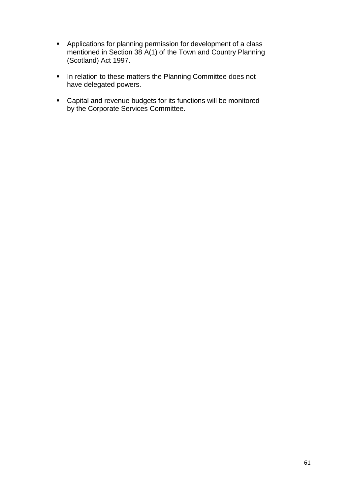- Applications for planning permission for development of a class mentioned in Section 38 A(1) of the Town and Country Planning (Scotland) Act 1997.
- **In relation to these matters the Planning Committee does not** have delegated powers.
- Capital and revenue budgets for its functions will be monitored by the Corporate Services Committee.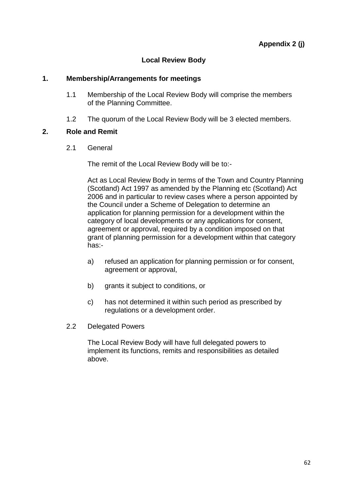## **Local Review Body**

## **1. Membership/Arrangements for meetings**

- 1.1 Membership of the Local Review Body will comprise the members of the Planning Committee.
- 1.2 The quorum of the Local Review Body will be 3 elected members.

## **2. Role and Remit**

2.1 General

The remit of the Local Review Body will be to:-

Act as Local Review Body in terms of the Town and Country Planning (Scotland) Act 1997 as amended by the Planning etc (Scotland) Act 2006 and in particular to review cases where a person appointed by the Council under a Scheme of Delegation to determine an application for planning permission for a development within the category of local developments or any applications for consent, agreement or approval, required by a condition imposed on that grant of planning permission for a development within that category has:-

- a) refused an application for planning permission or for consent, agreement or approval,
- b) grants it subject to conditions, or
- c) has not determined it within such period as prescribed by regulations or a development order.
- 2.2 Delegated Powers

The Local Review Body will have full delegated powers to implement its functions, remits and responsibilities as detailed above.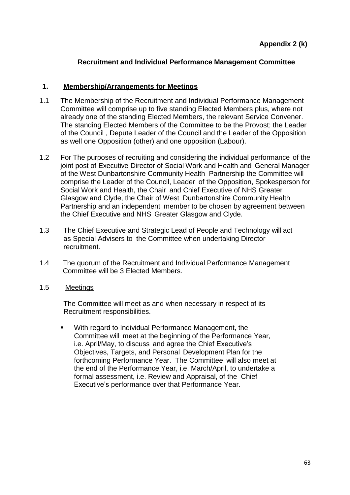## **Recruitment and Individual Performance Management Committee**

## **1. Membership/Arrangements for Meetings**

- 1.1 The Membership of the Recruitment and Individual Performance Management Committee will comprise up to five standing Elected Members plus, where not already one of the standing Elected Members, the relevant Service Convener. The standing Elected Members of the Committee to be the Provost; the Leader of the Council , Depute Leader of the Council and the Leader of the Opposition as well one Opposition (other) and one opposition (Labour).
- 1.2 For The purposes of recruiting and considering the individual performance of the joint post of Executive Director of Social Work and Health and General Manager of the West Dunbartonshire Community Health Partnership the Committee will comprise the Leader of the Council, Leader of the Opposition, Spokesperson for Social Work and Health, the Chair and Chief Executive of NHS Greater Glasgow and Clyde, the Chair of West Dunbartonshire Community Health Partnership and an independent member to be chosen by agreement between the Chief Executive and NHS Greater Glasgow and Clyde.
- 1.3 The Chief Executive and Strategic Lead of People and Technology will act as Special Advisers to the Committee when undertaking Director recruitment.
- 1.4 The quorum of the Recruitment and Individual Performance Management Committee will be 3 Elected Members.
- 1.5 Meetings

The Committee will meet as and when necessary in respect of its Recruitment responsibilities.

 With regard to Individual Performance Management, the Committee will meet at the beginning of the Performance Year, i.e. April/May, to discuss and agree the Chief Executive's Objectives, Targets, and Personal Development Plan for the forthcoming Performance Year. The Committee will also meet at the end of the Performance Year, i.e. March/April, to undertake a formal assessment, i.e. Review and Appraisal, of the Chief Executive's performance over that Performance Year.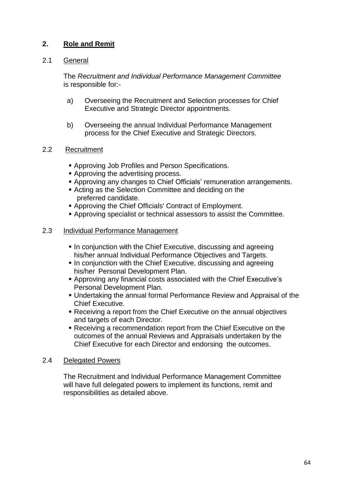## **2. Role and Remit**

## 2.1 General

The *Recruitment and Individual Performance Management Committee* is responsible for:-

- a) Overseeing the Recruitment and Selection processes for Chief Executive and Strategic Director appointments.
- b) Overseeing the annual Individual Performance Management process for the Chief Executive and Strategic Directors.

## 2.2 Recruitment

- Approving Job Profiles and Person Specifications.
- **Approving the advertising process.**
- Approving any changes to Chief Officials' remuneration arrangements.
- Acting as the Selection Committee and deciding on the preferred candidate.
- Approving the Chief Officials' Contract of Employment.
- Approving specialist or technical assessors to assist the Committee.

## 2.3 Individual Performance Management

- **In conjunction with the Chief Executive, discussing and agreeing** his/her annual Individual Performance Objectives and Targets.
- In conjunction with the Chief Executive, discussing and agreeing his/her Personal Development Plan.
- Approving any financial costs associated with the Chief Executive's Personal Development Plan.
- Undertaking the annual formal Performance Review and Appraisal of the Chief Executive.
- Receiving a report from the Chief Executive on the annual objectives and targets of each Director.
- Receiving a recommendation report from the Chief Executive on the outcomes of the annual Reviews and Appraisals undertaken by the Chief Executive for each Director and endorsing the outcomes.

## 2.4 Delegated Powers

The Recruitment and Individual Performance Management Committee will have full delegated powers to implement its functions, remit and responsibilities as detailed above.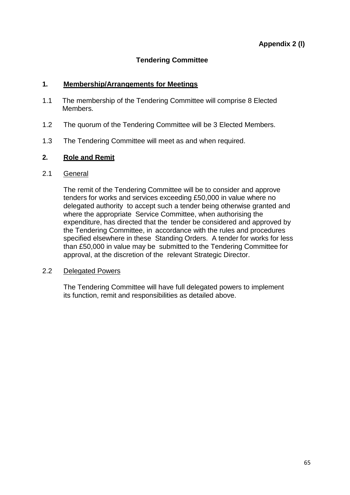## **Tendering Committee**

## **1. Membership/Arrangements for Meetings**

- 1.1 The membership of the Tendering Committee will comprise 8 Elected Members.
- 1.2 The quorum of the Tendering Committee will be 3 Elected Members.
- 1.3 The Tendering Committee will meet as and when required.

## **2. Role and Remit**

## 2.1 General

The remit of the Tendering Committee will be to consider and approve tenders for works and services exceeding £50,000 in value where no delegated authority to accept such a tender being otherwise granted and where the appropriate Service Committee, when authorising the expenditure, has directed that the tender be considered and approved by the Tendering Committee, in accordance with the rules and procedures specified elsewhere in these Standing Orders. A tender for works for less than £50,000 in value may be submitted to the Tendering Committee for approval, at the discretion of the relevant Strategic Director.

## 2.2 Delegated Powers

The Tendering Committee will have full delegated powers to implement its function, remit and responsibilities as detailed above.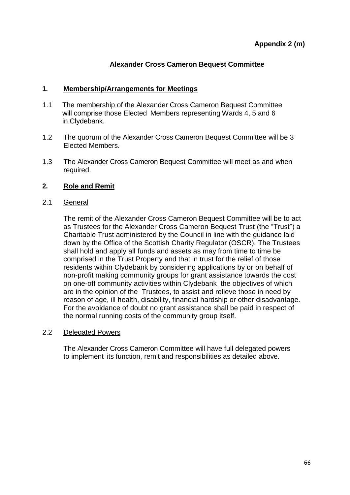## **Alexander Cross Cameron Bequest Committee**

## **1. Membership/Arrangements for Meetings**

- 1.1 The membership of the Alexander Cross Cameron Bequest Committee will comprise those Elected Members representing Wards 4, 5 and 6 in Clydebank.
- 1.2 The quorum of the Alexander Cross Cameron Bequest Committee will be 3 Elected Members.
- 1.3 The Alexander Cross Cameron Bequest Committee will meet as and when required.

## **2. Role and Remit**

## 2.1 General

The remit of the Alexander Cross Cameron Bequest Committee will be to act as Trustees for the Alexander Cross Cameron Bequest Trust (the "Trust") a Charitable Trust administered by the Council in line with the guidance laid down by the Office of the Scottish Charity Regulator (OSCR). The Trustees shall hold and apply all funds and assets as may from time to time be comprised in the Trust Property and that in trust for the relief of those residents within Clydebank by considering applications by or on behalf of non-profit making community groups for grant assistance towards the cost on one-off community activities within Clydebank the objectives of which are in the opinion of the Trustees, to assist and relieve those in need by reason of age, ill health, disability, financial hardship or other disadvantage. For the avoidance of doubt no grant assistance shall be paid in respect of the normal running costs of the community group itself.

## 2.2 Delegated Powers

The Alexander Cross Cameron Committee will have full delegated powers to implement its function, remit and responsibilities as detailed above.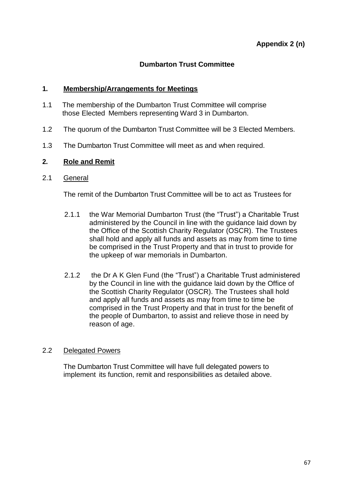## **Dumbarton Trust Committee**

## **1. Membership/Arrangements for Meetings**

- 1.1 The membership of the Dumbarton Trust Committee will comprise those Elected Members representing Ward 3 in Dumbarton.
- 1.2 The quorum of the Dumbarton Trust Committee will be 3 Elected Members.
- 1.3 The Dumbarton Trust Committee will meet as and when required.

## **2. Role and Remit**

## 2.1 General

The remit of the Dumbarton Trust Committee will be to act as Trustees for

- 2.1.1 the War Memorial Dumbarton Trust (the "Trust") a Charitable Trust administered by the Council in line with the guidance laid down by the Office of the Scottish Charity Regulator (OSCR). The Trustees shall hold and apply all funds and assets as may from time to time be comprised in the Trust Property and that in trust to provide for the upkeep of war memorials in Dumbarton.
- 2.1.2 the Dr A K Glen Fund (the "Trust") a Charitable Trust administered by the Council in line with the guidance laid down by the Office of the Scottish Charity Regulator (OSCR). The Trustees shall hold and apply all funds and assets as may from time to time be comprised in the Trust Property and that in trust for the benefit of the people of Dumbarton, to assist and relieve those in need by reason of age.

## 2.2 Delegated Powers

The Dumbarton Trust Committee will have full delegated powers to implement its function, remit and responsibilities as detailed above.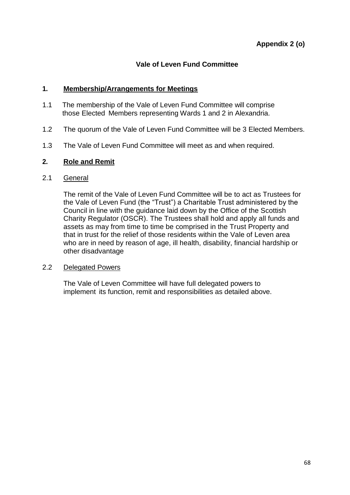## **Vale of Leven Fund Committee**

## **1. Membership/Arrangements for Meetings**

- 1.1 The membership of the Vale of Leven Fund Committee will comprise those Elected Members representing Wards 1 and 2 in Alexandria.
- 1.2 The quorum of the Vale of Leven Fund Committee will be 3 Elected Members.
- 1.3 The Vale of Leven Fund Committee will meet as and when required.

## **2. Role and Remit**

## 2.1 General

The remit of the Vale of Leven Fund Committee will be to act as Trustees for the Vale of Leven Fund (the "Trust") a Charitable Trust administered by the Council in line with the guidance laid down by the Office of the Scottish Charity Regulator (OSCR). The Trustees shall hold and apply all funds and assets as may from time to time be comprised in the Trust Property and that in trust for the relief of those residents within the Vale of Leven area who are in need by reason of age, ill health, disability, financial hardship or other disadvantage

## 2.2 Delegated Powers

The Vale of Leven Committee will have full delegated powers to implement its function, remit and responsibilities as detailed above.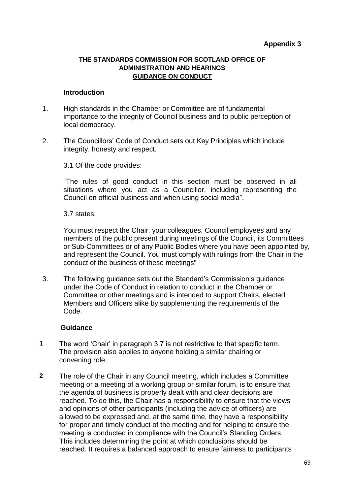#### **THE STANDARDS COMMISSION FOR SCOTLAND OFFICE OF ADMINISTRATION AND HEARINGS GUIDANCE ON CONDUCT**

#### **Introduction**

- 1. High standards in the Chamber or Committee are of fundamental importance to the integrity of Council business and to public perception of local democracy.
- 2. The Councillors' Code of Conduct sets out Key Principles which include integrity, honesty and respect.

3.1 Of the code provides:

"The rules of good conduct in this section must be observed in all situations where you act as a Councillor, including representing the Council on official business and when using social media".

3.7 states:

You must respect the Chair, your colleagues, Council employees and any members of the public present during meetings of the Council, its Committees or Sub-Committees or of any Public Bodies where you have been appointed by, and represent the Council. You must comply with rulings from the Chair in the conduct of the business of these meetings"

3. The following guidance sets out the Standard's Commission's guidance under the Code of Conduct in relation to conduct in the Chamber or Committee or other meetings and is intended to support Chairs, elected Members and Officers alike by supplementing the requirements of the Code.

## **Guidance**

- **1** The word 'Chair' in paragraph 3.7 is not restrictive to that specific term. The provision also applies to anyone holding a similar chairing or convening role.
- **2** The role of the Chair in any Council meeting, which includes a Committee meeting or a meeting of a working group or similar forum, is to ensure that the agenda of business is properly dealt with and clear decisions are reached. To do this, the Chair has a responsibility to ensure that the views and opinions of other participants (including the advice of officers) are allowed to be expressed and, at the same time, they have a responsibility for proper and timely conduct of the meeting and for helping to ensure the meeting is conducted in compliance with the Council's Standing Orders. This includes determining the point at which conclusions should be reached. It requires a balanced approach to ensure fairness to participants